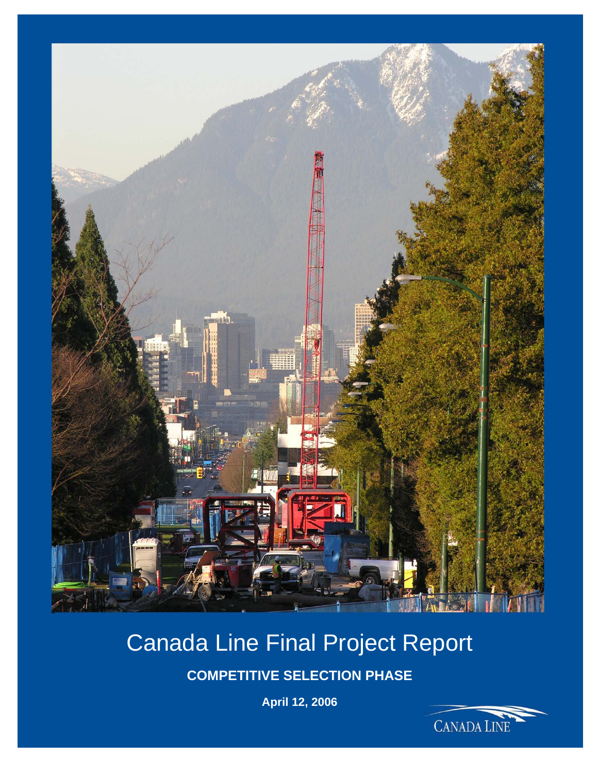

# Canada Line Final Project Report

**COMPETITIVE SELECTION PHASE** 

**April 12, 2006** 

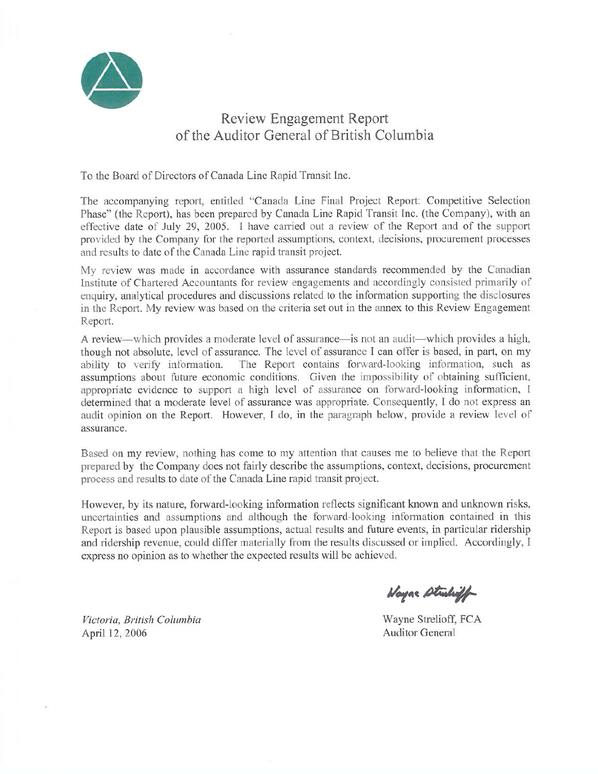

## **Review Engagement Report** of the Auditor General of British Columbia

To the Board of Directors of Canada Line Rapid Transit Inc.

The accompanying report, entitled "Canada Line Final Project Report: Competitive Selection Phase" (the Report), has been prepared by Canada Line Rapid Transit Inc. (the Company), with an effective date of July 29, 2005. I have carried out a review of the Report and of the support provided by the Company for the reported assumptions, context, decisions, procurement processes and results to date of the Canada Line rapid transit project.

My review was made in accordance with assurance standards recommended by the Canadian Institute of Chartered Accountants for review engagements and accordingly consisted primarily of enquiry, analytical procedures and discussions related to the information supporting the disclosures in the Report. My review was based on the criteria set out in the annex to this Review Engagement Report.

A review—which provides a moderate level of assurance—is not an audit—which provides a high, though not absolute, level of assurance. The level of assurance I can offer is based, in part, on my The Report contains forward-looking information, such as ability to verify information. assumptions about future economic conditions. Given the impossibility of obtaining sufficient, appropriate evidence to support a high level of assurance on forward-looking information, I determined that a moderate level of assurance was appropriate. Consequently, I do not express an audit opinion on the Report. However, I do, in the paragraph below, provide a review level of assurance.

Based on my review, nothing has come to my attention that causes me to believe that the Report prepared by the Company does not fairly describe the assumptions, context, decisions, procurement process and results to date of the Canada Line rapid transit project.

However, by its nature, forward-looking information reflects significant known and unknown risks, uncertainties and assumptions and although the forward-looking information contained in this Report is based upon plausible assumptions, actual results and future events, in particular ridership and ridership revenue, could differ materially from the results discussed or implied. Accordingly, I express no opinion as to whether the expected results will be achieved.

Wayne Studiet

Victoria. British Columbia April 12, 2006

Wayne Strelioff, FCA **Auditor General**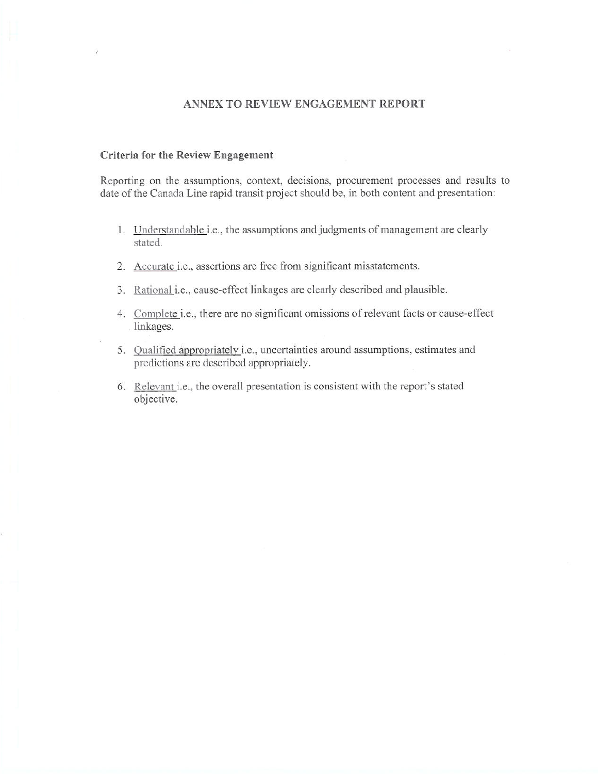### ANNEX TO REVIEW ENGAGEMENT REPORT

#### Criteria for the Review Engagement

Reporting on the assumptions, context, decisions, procurement processes and results to date of the Canada Line rapid transit project should be, in both content and presentation:

- 1. Understandable i.e., the assumptions and judgments of management are clearly stated.
- 2. Accurate i.e., assertions are free from significant misstatements.
- 3. Rational i.e., cause-effect linkages are clearly described and plausible.
- 4. Complete i.e., there are no significant omissions of relevant facts or cause-effect linkages.
- 5. Qualified appropriately i.e., uncertainties around assumptions, estimates and predictions are described appropriately.
- 6. Relevant i.e., the overall presentation is consistent with the report's stated objective.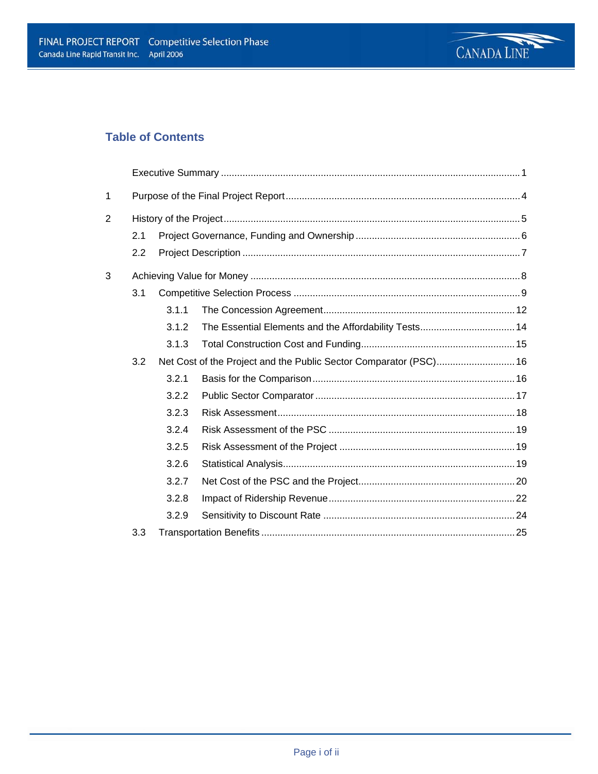

## **Table of Contents**

| $\mathbf{1}$ |     |       |                                                       |  |  |  |
|--------------|-----|-------|-------------------------------------------------------|--|--|--|
| 2            |     |       |                                                       |  |  |  |
|              | 2.1 |       |                                                       |  |  |  |
|              | 2.2 |       |                                                       |  |  |  |
| 3            |     |       |                                                       |  |  |  |
|              | 3.1 |       |                                                       |  |  |  |
|              |     | 3.1.1 |                                                       |  |  |  |
|              |     | 3.1.2 | The Essential Elements and the Affordability Tests 14 |  |  |  |
|              |     | 3.1.3 |                                                       |  |  |  |
|              | 3.2 |       |                                                       |  |  |  |
|              |     | 3.2.1 |                                                       |  |  |  |
|              |     | 3.2.2 |                                                       |  |  |  |
|              |     | 3.2.3 |                                                       |  |  |  |
|              |     | 3.2.4 |                                                       |  |  |  |
|              |     | 3.2.5 |                                                       |  |  |  |
|              |     | 3.2.6 |                                                       |  |  |  |
|              |     | 3.2.7 |                                                       |  |  |  |
|              |     | 3.2.8 |                                                       |  |  |  |
|              |     | 3.2.9 |                                                       |  |  |  |
|              | 3.3 |       |                                                       |  |  |  |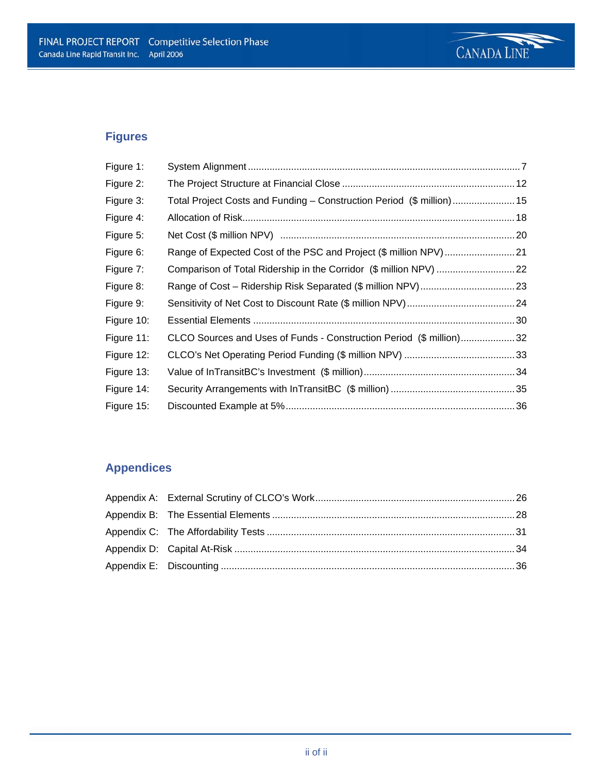

## **Figures**

| Figure 1:  |                                                                       |  |
|------------|-----------------------------------------------------------------------|--|
| Figure 2:  |                                                                       |  |
| Figure 3:  | Total Project Costs and Funding – Construction Period (\$ million) 15 |  |
| Figure 4:  |                                                                       |  |
| Figure 5:  |                                                                       |  |
| Figure 6:  |                                                                       |  |
| Figure 7:  |                                                                       |  |
| Figure 8:  |                                                                       |  |
| Figure 9:  |                                                                       |  |
| Figure 10: |                                                                       |  |
| Figure 11: | CLCO Sources and Uses of Funds - Construction Period (\$ million)32   |  |
| Figure 12: |                                                                       |  |
| Figure 13: |                                                                       |  |
| Figure 14: |                                                                       |  |
| Figure 15: |                                                                       |  |

## **Appendices**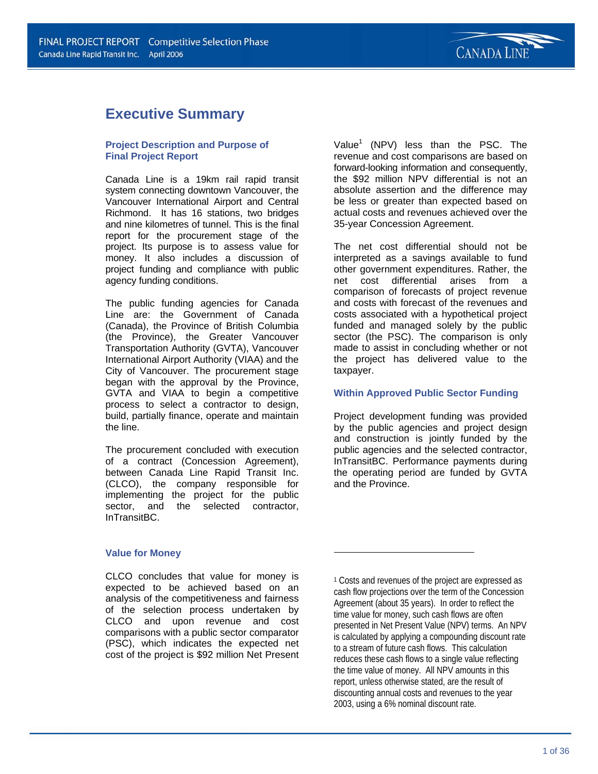## **Executive Summary**

### **Project Description and Purpose of Final Project Report**

Canada Line is a 19km rail rapid transit system connecting downtown Vancouver, the Vancouver International Airport and Central Richmond. It has 16 stations, two bridges and nine kilometres of tunnel. This is the final report for the procurement stage of the project. Its purpose is to assess value for money. It also includes a discussion of project funding and compliance with public agency funding conditions.

The public funding agencies for Canada Line are: the Government of Canada (Canada), the Province of British Columbia (the Province), the Greater Vancouver Transportation Authority (GVTA), Vancouver International Airport Authority (VIAA) and the City of Vancouver. The procurement stage began with the approval by the Province, GVTA and VIAA to begin a competitive process to select a contractor to design, build, partially finance, operate and maintain the line.

The procurement concluded with execution of a contract (Concession Agreement), between Canada Line Rapid Transit Inc. (CLCO), the company responsible for implementing the project for the public sector, and the selected contractor, InTransitBC.

Value<sup>1</sup> (NPV) less than the PSC. The revenue and cost comparisons are based on forward-looking information and consequently, the \$92 million NPV differential is not an absolute assertion and the difference may be less or greater than expected based on actual costs and revenues achieved over the 35-year Concession Agreement.

The net cost differential should not be interpreted as a savings available to fund other government expenditures. Rather, the net cost differential arises from a comparison of forecasts of project revenue and costs with forecast of the revenues and costs associated with a hypothetical project funded and managed solely by the public sector (the PSC). The comparison is only made to assist in concluding whether or not the project has delivered value to the taxpayer.

### **Within Approved Public Sector Funding**

Project development funding was provided by the public agencies and project design and construction is jointly funded by the public agencies and the selected contractor, InTransitBC. Performance payments during the operating period are funded by GVTA and the Province.

### **Value for Money**

CLCO concludes that value for money is expected to be achieved based on an analysis of the competitiveness and fairness of the selection process undertaken by CLCO and upon revenue and cost comparisons with a public sector comparator (PSC), which indicates the expected net cost of the project is \$92 million Net Present

1 Costs and revenues of the project are expressed as cash flow projections over the term of the Concession Agreement (about 35 years). In order to reflect the time value for money, such cash flows are often presented in Net Present Value (NPV) terms. An NPV is calculated by applying a compounding discount rate to a stream of future cash flows. This calculation reduces these cash flows to a single value reflecting the time value of money. All NPV amounts in this report, unless otherwise stated, are the result of discounting annual costs and revenues to the year 2003, using a 6% nominal discount rate.

 $\overline{\phantom{0}}$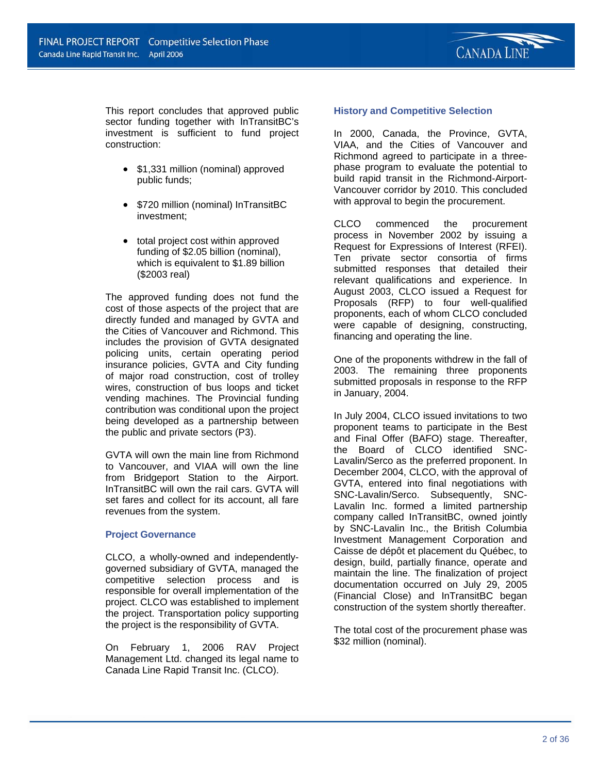

This report concludes that approved public sector funding together with InTransitBC's investment is sufficient to fund project construction:

- \$1,331 million (nominal) approved public funds;
- \$720 million (nominal) InTransitBC investment;
- total project cost within approved funding of \$2.05 billion (nominal), which is equivalent to \$1.89 billion (\$2003 real)

The approved funding does not fund the cost of those aspects of the project that are directly funded and managed by GVTA and the Cities of Vancouver and Richmond. This includes the provision of GVTA designated policing units, certain operating period insurance policies, GVTA and City funding of major road construction, cost of trolley wires, construction of bus loops and ticket vending machines. The Provincial funding contribution was conditional upon the project being developed as a partnership between the public and private sectors (P3).

GVTA will own the main line from Richmond to Vancouver, and VIAA will own the line from Bridgeport Station to the Airport. InTransitBC will own the rail cars. GVTA will set fares and collect for its account, all fare revenues from the system.

### **Project Governance**

CLCO, a wholly-owned and independentlygoverned subsidiary of GVTA, managed the competitive selection process and is responsible for overall implementation of the project. CLCO was established to implement the project. Transportation policy supporting the project is the responsibility of GVTA.

On February 1, 2006 RAV Project Management Ltd. changed its legal name to Canada Line Rapid Transit Inc. (CLCO).

### **History and Competitive Selection**

In 2000, Canada, the Province, GVTA, VIAA, and the Cities of Vancouver and Richmond agreed to participate in a threephase program to evaluate the potential to build rapid transit in the Richmond-Airport-Vancouver corridor by 2010. This concluded with approval to begin the procurement.

CLCO commenced the procurement process in November 2002 by issuing a Request for Expressions of Interest (RFEI). Ten private sector consortia of firms submitted responses that detailed their relevant qualifications and experience. In August 2003, CLCO issued a Request for Proposals (RFP) to four well-qualified proponents, each of whom CLCO concluded were capable of designing, constructing, financing and operating the line.

One of the proponents withdrew in the fall of 2003. The remaining three proponents submitted proposals in response to the RFP in January, 2004.

In July 2004, CLCO issued invitations to two proponent teams to participate in the Best and Final Offer (BAFO) stage. Thereafter, the Board of CLCO identified SNC-Lavalin/Serco as the preferred proponent. In December 2004, CLCO, with the approval of GVTA, entered into final negotiations with SNC-Lavalin/Serco. Subsequently, SNC-Lavalin Inc. formed a limited partnership company called InTransitBC, owned jointly by SNC-Lavalin Inc., the British Columbia Investment Management Corporation and Caisse de dépôt et placement du Québec, to design, build, partially finance, operate and maintain the line. The finalization of project documentation occurred on July 29, 2005 (Financial Close) and InTransitBC began construction of the system shortly thereafter.

The total cost of the procurement phase was \$32 million (nominal).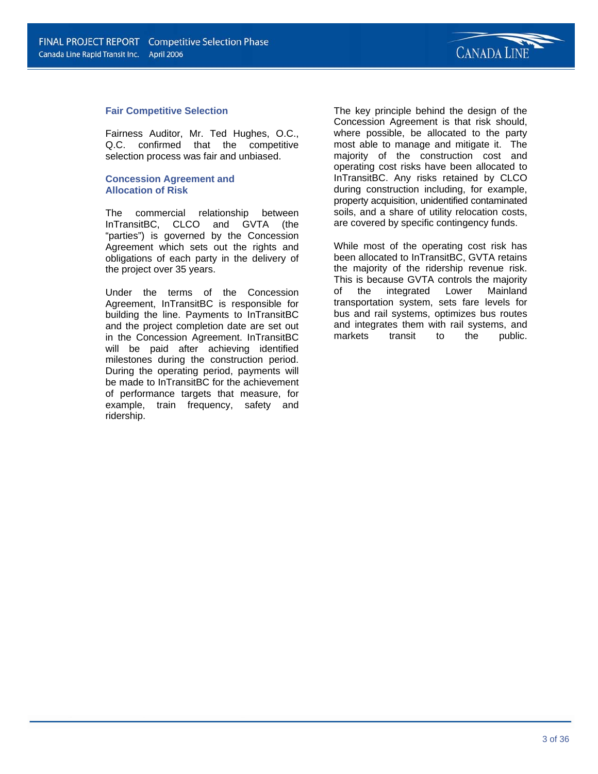

#### **Fair Competitive Selection**

Fairness Auditor, Mr. Ted Hughes, O.C., Q.C. confirmed that the competitive selection process was fair and unbiased.

#### **Concession Agreement and Allocation of Risk**

The commercial relationship between InTransitBC, CLCO and GVTA (the "parties") is governed by the Concession Agreement which sets out the rights and obligations of each party in the delivery of the project over 35 years.

Under the terms of the Concession Agreement, InTransitBC is responsible for building the line. Payments to InTransitBC and the project completion date are set out in the Concession Agreement. InTransitBC will be paid after achieving identified milestones during the construction period. During the operating period, payments will be made to InTransitBC for the achievement of performance targets that measure, for example, train frequency, safety and ridership.

The key principle behind the design of the Concession Agreement is that risk should, where possible, be allocated to the party most able to manage and mitigate it. The majority of the construction cost and operating cost risks have been allocated to InTransitBC. Any risks retained by CLCO during construction including, for example, property acquisition, unidentified contaminated soils, and a share of utility relocation costs, are covered by specific contingency funds.

While most of the operating cost risk has been allocated to InTransitBC, GVTA retains the majority of the ridership revenue risk. This is because GVTA controls the majority of the integrated Lower Mainland transportation system, sets fare levels for bus and rail systems, optimizes bus routes and integrates them with rail systems, and markets transit to the public.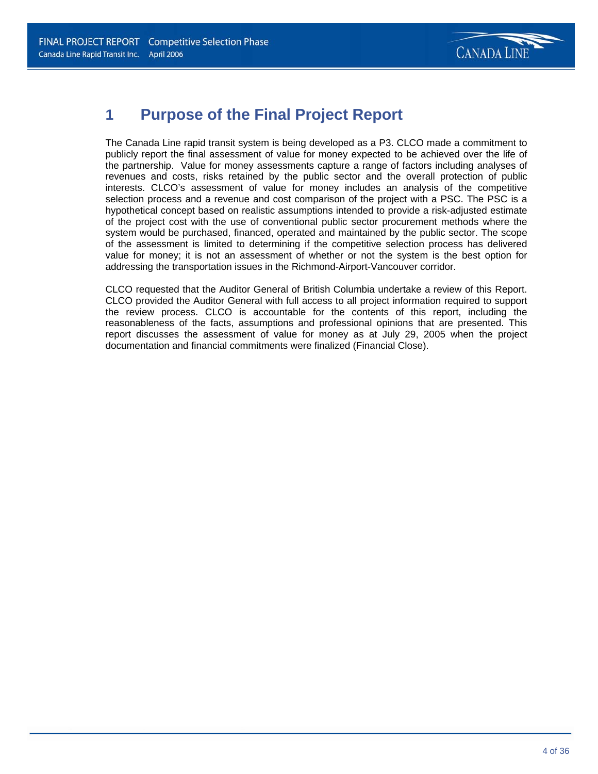

## **1 Purpose of the Final Project Report**

The Canada Line rapid transit system is being developed as a P3. CLCO made a commitment to publicly report the final assessment of value for money expected to be achieved over the life of the partnership. Value for money assessments capture a range of factors including analyses of revenues and costs, risks retained by the public sector and the overall protection of public interests. CLCO's assessment of value for money includes an analysis of the competitive selection process and a revenue and cost comparison of the project with a PSC. The PSC is a hypothetical concept based on realistic assumptions intended to provide a risk-adjusted estimate of the project cost with the use of conventional public sector procurement methods where the system would be purchased, financed, operated and maintained by the public sector. The scope of the assessment is limited to determining if the competitive selection process has delivered value for money; it is not an assessment of whether or not the system is the best option for addressing the transportation issues in the Richmond-Airport-Vancouver corridor.

CLCO requested that the Auditor General of British Columbia undertake a review of this Report. CLCO provided the Auditor General with full access to all project information required to support the review process. CLCO is accountable for the contents of this report, including the reasonableness of the facts, assumptions and professional opinions that are presented. This report discusses the assessment of value for money as at July 29, 2005 when the project documentation and financial commitments were finalized (Financial Close).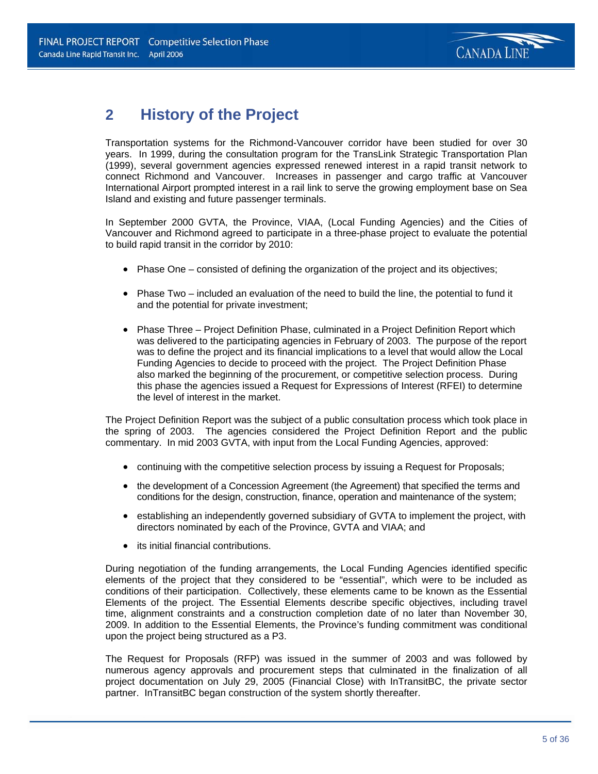

## **2 History of the Project**

Transportation systems for the Richmond-Vancouver corridor have been studied for over 30 years. In 1999, during the consultation program for the TransLink Strategic Transportation Plan (1999), several government agencies expressed renewed interest in a rapid transit network to connect Richmond and Vancouver. Increases in passenger and cargo traffic at Vancouver International Airport prompted interest in a rail link to serve the growing employment base on Sea Island and existing and future passenger terminals.

In September 2000 GVTA, the Province, VIAA, (Local Funding Agencies) and the Cities of Vancouver and Richmond agreed to participate in a three-phase project to evaluate the potential to build rapid transit in the corridor by 2010:

- Phase One consisted of defining the organization of the project and its objectives;
- Phase Two included an evaluation of the need to build the line, the potential to fund it and the potential for private investment;
- Phase Three Project Definition Phase, culminated in a Project Definition Report which was delivered to the participating agencies in February of 2003. The purpose of the report was to define the project and its financial implications to a level that would allow the Local Funding Agencies to decide to proceed with the project. The Project Definition Phase also marked the beginning of the procurement, or competitive selection process. During this phase the agencies issued a Request for Expressions of Interest (RFEI) to determine the level of interest in the market.

The Project Definition Report was the subject of a public consultation process which took place in the spring of 2003. The agencies considered the Project Definition Report and the public commentary. In mid 2003 GVTA, with input from the Local Funding Agencies, approved:

- continuing with the competitive selection process by issuing a Request for Proposals;
- the development of a Concession Agreement (the Agreement) that specified the terms and conditions for the design, construction, finance, operation and maintenance of the system;
- establishing an independently governed subsidiary of GVTA to implement the project, with directors nominated by each of the Province, GVTA and VIAA; and
- its initial financial contributions.

During negotiation of the funding arrangements, the Local Funding Agencies identified specific elements of the project that they considered to be "essential", which were to be included as conditions of their participation. Collectively, these elements came to be known as the Essential Elements of the project. The Essential Elements describe specific objectives, including travel time, alignment constraints and a construction completion date of no later than November 30, 2009. In addition to the Essential Elements, the Province's funding commitment was conditional upon the project being structured as a P3.

The Request for Proposals (RFP) was issued in the summer of 2003 and was followed by numerous agency approvals and procurement steps that culminated in the finalization of all project documentation on July 29, 2005 (Financial Close) with InTransitBC, the private sector partner. InTransitBC began construction of the system shortly thereafter.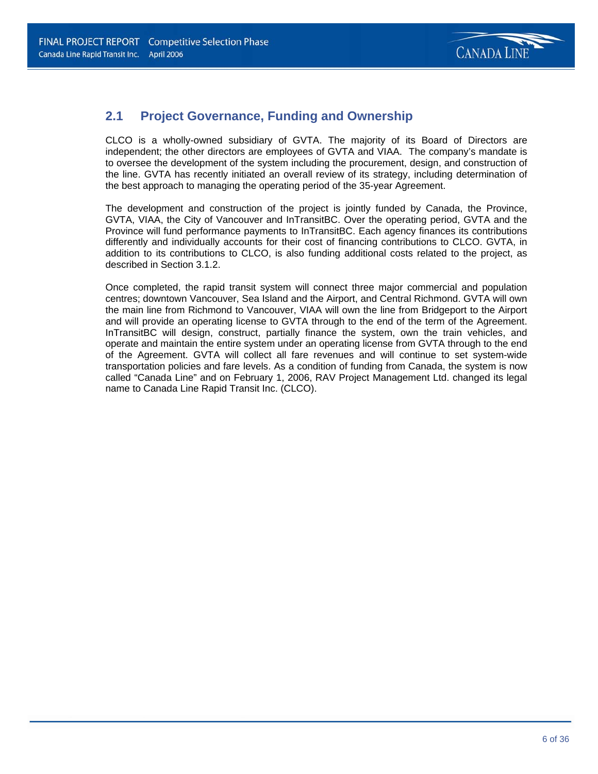

### **2.1 Project Governance, Funding and Ownership**

CLCO is a wholly-owned subsidiary of GVTA. The majority of its Board of Directors are independent; the other directors are employees of GVTA and VIAA. The company's mandate is to oversee the development of the system including the procurement, design, and construction of the line. GVTA has recently initiated an overall review of its strategy, including determination of the best approach to managing the operating period of the 35-year Agreement.

The development and construction of the project is jointly funded by Canada, the Province, GVTA, VIAA, the City of Vancouver and InTransitBC. Over the operating period, GVTA and the Province will fund performance payments to InTransitBC. Each agency finances its contributions differently and individually accounts for their cost of financing contributions to CLCO. GVTA, in addition to its contributions to CLCO, is also funding additional costs related to the project, as described in Section 3.1.2.

Once completed, the rapid transit system will connect three major commercial and population centres; downtown Vancouver, Sea Island and the Airport, and Central Richmond. GVTA will own the main line from Richmond to Vancouver, VIAA will own the line from Bridgeport to the Airport and will provide an operating license to GVTA through to the end of the term of the Agreement. InTransitBC will design, construct, partially finance the system, own the train vehicles, and operate and maintain the entire system under an operating license from GVTA through to the end of the Agreement. GVTA will collect all fare revenues and will continue to set system-wide transportation policies and fare levels. As a condition of funding from Canada, the system is now called "Canada Line" and on February 1, 2006, RAV Project Management Ltd. changed its legal name to Canada Line Rapid Transit Inc. (CLCO).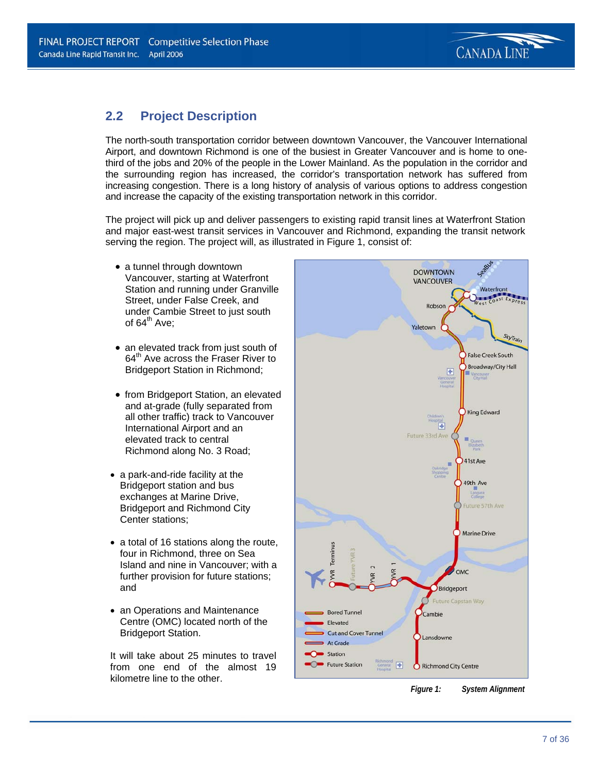

### **2.2 Project Description**

The north-south transportation corridor between downtown Vancouver, the Vancouver International Airport, and downtown Richmond is one of the busiest in Greater Vancouver and is home to onethird of the jobs and 20% of the people in the Lower Mainland. As the population in the corridor and the surrounding region has increased, the corridor's transportation network has suffered from increasing congestion. There is a long history of analysis of various options to address congestion and increase the capacity of the existing transportation network in this corridor.

The project will pick up and deliver passengers to existing rapid transit lines at Waterfront Station and major east-west transit services in Vancouver and Richmond, expanding the transit network serving the region. The project will, as illustrated in Figure 1, consist of:

- a tunnel through downtown Vancouver, starting at Waterfront Station and running under Granville Street, under False Creek, and under Cambie Street to just south of  $64^{\text{th}}$  Ave:
- an elevated track from just south of 64<sup>th</sup> Ave across the Fraser River to Bridgeport Station in Richmond;
- from Bridgeport Station, an elevated and at-grade (fully separated from all other traffic) track to Vancouver International Airport and an elevated track to central Richmond along No. 3 Road;
- a park-and-ride facility at the Bridgeport station and bus exchanges at Marine Drive, Bridgeport and Richmond City Center stations;
- a total of 16 stations along the route, four in Richmond, three on Sea Island and nine in Vancouver; with a further provision for future stations; and
- an Operations and Maintenance Centre (OMC) located north of the Bridgeport Station.

It will take about 25 minutes to travel from one end of the almost 19 kilometre line to the other.



*Figure 1: System Alignment*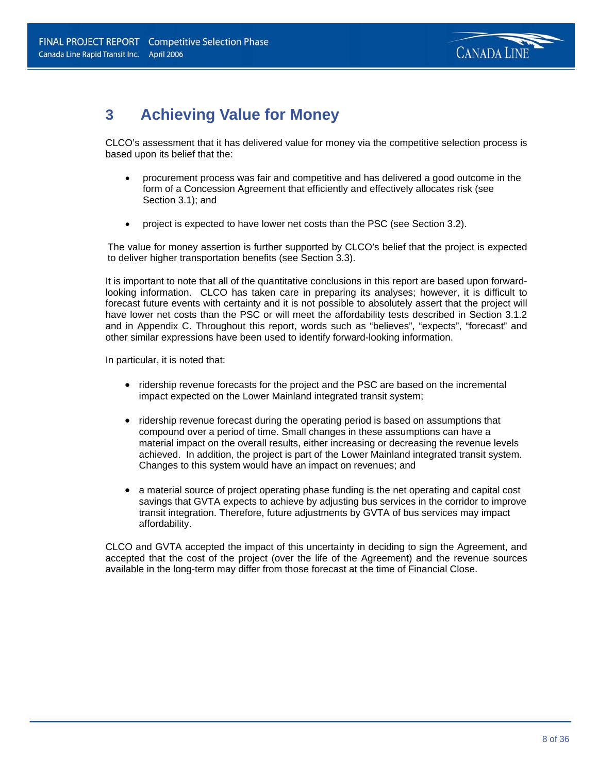

## **3 Achieving Value for Money**

CLCO's assessment that it has delivered value for money via the competitive selection process is based upon its belief that the:

- procurement process was fair and competitive and has delivered a good outcome in the form of a Concession Agreement that efficiently and effectively allocates risk (see Section 3.1); and
- project is expected to have lower net costs than the PSC (see Section 3.2).

The value for money assertion is further supported by CLCO's belief that the project is expected to deliver higher transportation benefits (see Section 3.3).

It is important to note that all of the quantitative conclusions in this report are based upon forwardlooking information. CLCO has taken care in preparing its analyses; however, it is difficult to forecast future events with certainty and it is not possible to absolutely assert that the project will have lower net costs than the PSC or will meet the affordability tests described in Section 3.1.2 and in Appendix C. Throughout this report, words such as "believes", "expects", "forecast" and other similar expressions have been used to identify forward-looking information.

In particular, it is noted that:

- ridership revenue forecasts for the project and the PSC are based on the incremental impact expected on the Lower Mainland integrated transit system;
- ridership revenue forecast during the operating period is based on assumptions that compound over a period of time. Small changes in these assumptions can have a material impact on the overall results, either increasing or decreasing the revenue levels achieved. In addition, the project is part of the Lower Mainland integrated transit system. Changes to this system would have an impact on revenues; and
- a material source of project operating phase funding is the net operating and capital cost savings that GVTA expects to achieve by adjusting bus services in the corridor to improve transit integration. Therefore, future adjustments by GVTA of bus services may impact affordability.

CLCO and GVTA accepted the impact of this uncertainty in deciding to sign the Agreement, and accepted that the cost of the project (over the life of the Agreement) and the revenue sources available in the long-term may differ from those forecast at the time of Financial Close.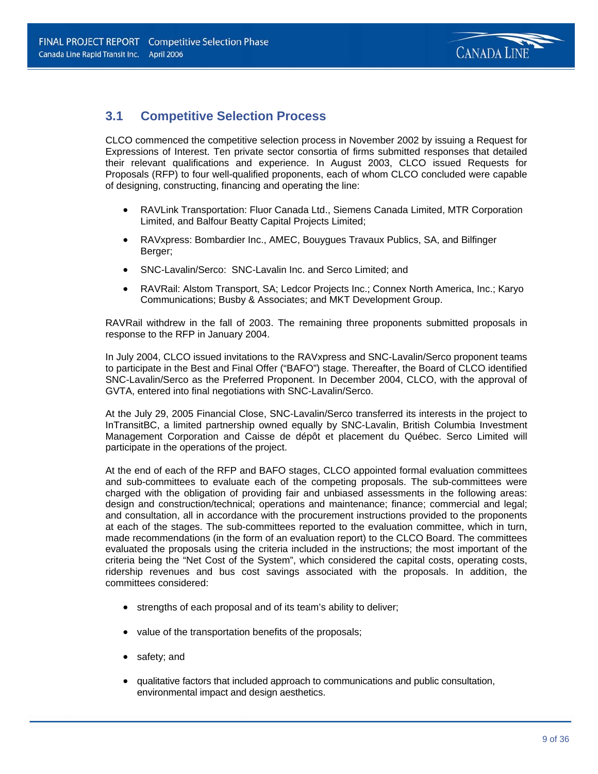

### **3.1 Competitive Selection Process**

CLCO commenced the competitive selection process in November 2002 by issuing a Request for Expressions of Interest. Ten private sector consortia of firms submitted responses that detailed their relevant qualifications and experience. In August 2003, CLCO issued Requests for Proposals (RFP) to four well-qualified proponents, each of whom CLCO concluded were capable of designing, constructing, financing and operating the line:

- RAVLink Transportation: Fluor Canada Ltd., Siemens Canada Limited, MTR Corporation Limited, and Balfour Beatty Capital Projects Limited;
- RAVxpress: Bombardier Inc., AMEC, Bouygues Travaux Publics, SA, and Bilfinger Berger;
- SNC-Lavalin/Serco: SNC-Lavalin Inc. and Serco Limited; and
- RAVRail: Alstom Transport, SA; Ledcor Projects Inc.; Connex North America, Inc.; Karyo Communications; Busby & Associates; and MKT Development Group.

RAVRail withdrew in the fall of 2003. The remaining three proponents submitted proposals in response to the RFP in January 2004.

In July 2004, CLCO issued invitations to the RAVxpress and SNC-Lavalin/Serco proponent teams to participate in the Best and Final Offer ("BAFO") stage. Thereafter, the Board of CLCO identified SNC-Lavalin/Serco as the Preferred Proponent. In December 2004, CLCO, with the approval of GVTA, entered into final negotiations with SNC-Lavalin/Serco.

At the July 29, 2005 Financial Close, SNC-Lavalin/Serco transferred its interests in the project to InTransitBC, a limited partnership owned equally by SNC-Lavalin, British Columbia Investment Management Corporation and Caisse de dépôt et placement du Québec. Serco Limited will participate in the operations of the project.

At the end of each of the RFP and BAFO stages, CLCO appointed formal evaluation committees and sub-committees to evaluate each of the competing proposals. The sub-committees were charged with the obligation of providing fair and unbiased assessments in the following areas: design and construction/technical; operations and maintenance; finance; commercial and legal; and consultation, all in accordance with the procurement instructions provided to the proponents at each of the stages. The sub-committees reported to the evaluation committee, which in turn, made recommendations (in the form of an evaluation report) to the CLCO Board. The committees evaluated the proposals using the criteria included in the instructions; the most important of the criteria being the "Net Cost of the System", which considered the capital costs, operating costs, ridership revenues and bus cost savings associated with the proposals. In addition, the committees considered:

- strengths of each proposal and of its team's ability to deliver;
- value of the transportation benefits of the proposals;
- safety; and
- qualitative factors that included approach to communications and public consultation, environmental impact and design aesthetics.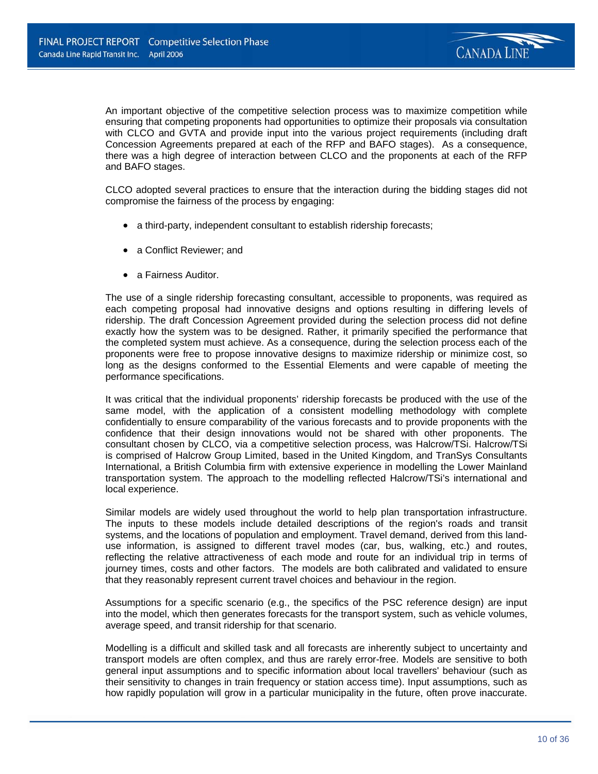

An important objective of the competitive selection process was to maximize competition while ensuring that competing proponents had opportunities to optimize their proposals via consultation with CLCO and GVTA and provide input into the various project requirements (including draft Concession Agreements prepared at each of the RFP and BAFO stages). As a consequence, there was a high degree of interaction between CLCO and the proponents at each of the RFP and BAFO stages.

CLCO adopted several practices to ensure that the interaction during the bidding stages did not compromise the fairness of the process by engaging:

- a third-party, independent consultant to establish ridership forecasts;
- a Conflict Reviewer: and
- a Fairness Auditor.

The use of a single ridership forecasting consultant, accessible to proponents, was required as each competing proposal had innovative designs and options resulting in differing levels of ridership. The draft Concession Agreement provided during the selection process did not define exactly how the system was to be designed. Rather, it primarily specified the performance that the completed system must achieve. As a consequence, during the selection process each of the proponents were free to propose innovative designs to maximize ridership or minimize cost, so long as the designs conformed to the Essential Elements and were capable of meeting the performance specifications.

It was critical that the individual proponents' ridership forecasts be produced with the use of the same model, with the application of a consistent modelling methodology with complete confidentially to ensure comparability of the various forecasts and to provide proponents with the confidence that their design innovations would not be shared with other proponents. The consultant chosen by CLCO, via a competitive selection process, was Halcrow/TSi. Halcrow/TSi is comprised of Halcrow Group Limited, based in the United Kingdom, and TranSys Consultants International, a British Columbia firm with extensive experience in modelling the Lower Mainland transportation system. The approach to the modelling reflected Halcrow/TSi's international and local experience.

Similar models are widely used throughout the world to help plan transportation infrastructure. The inputs to these models include detailed descriptions of the region's roads and transit systems, and the locations of population and employment. Travel demand, derived from this landuse information, is assigned to different travel modes (car, bus, walking, etc.) and routes, reflecting the relative attractiveness of each mode and route for an individual trip in terms of journey times, costs and other factors. The models are both calibrated and validated to ensure that they reasonably represent current travel choices and behaviour in the region.

Assumptions for a specific scenario (e.g., the specifics of the PSC reference design) are input into the model, which then generates forecasts for the transport system, such as vehicle volumes, average speed, and transit ridership for that scenario.

Modelling is a difficult and skilled task and all forecasts are inherently subject to uncertainty and transport models are often complex, and thus are rarely error-free. Models are sensitive to both general input assumptions and to specific information about local travellers' behaviour (such as their sensitivity to changes in train frequency or station access time). Input assumptions, such as how rapidly population will grow in a particular municipality in the future, often prove inaccurate.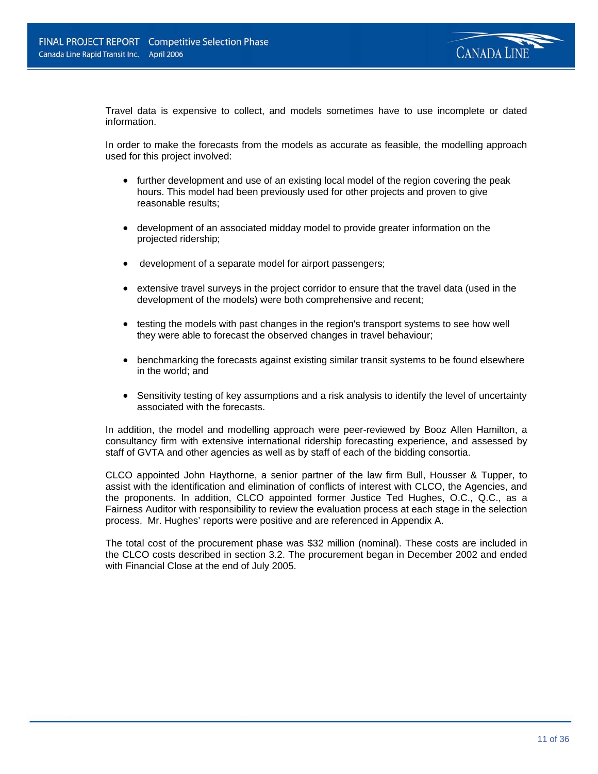

Travel data is expensive to collect, and models sometimes have to use incomplete or dated information.

In order to make the forecasts from the models as accurate as feasible, the modelling approach used for this project involved:

- further development and use of an existing local model of the region covering the peak hours. This model had been previously used for other projects and proven to give reasonable results;
- development of an associated midday model to provide greater information on the projected ridership;
- development of a separate model for airport passengers;
- extensive travel surveys in the project corridor to ensure that the travel data (used in the development of the models) were both comprehensive and recent;
- testing the models with past changes in the region's transport systems to see how well they were able to forecast the observed changes in travel behaviour;
- benchmarking the forecasts against existing similar transit systems to be found elsewhere in the world; and
- Sensitivity testing of key assumptions and a risk analysis to identify the level of uncertainty associated with the forecasts.

In addition, the model and modelling approach were peer-reviewed by Booz Allen Hamilton, a consultancy firm with extensive international ridership forecasting experience, and assessed by staff of GVTA and other agencies as well as by staff of each of the bidding consortia.

CLCO appointed John Haythorne, a senior partner of the law firm Bull, Housser & Tupper, to assist with the identification and elimination of conflicts of interest with CLCO, the Agencies, and the proponents. In addition, CLCO appointed former Justice Ted Hughes, O.C., Q.C., as a Fairness Auditor with responsibility to review the evaluation process at each stage in the selection process. Mr. Hughes' reports were positive and are referenced in Appendix A.

The total cost of the procurement phase was \$32 million (nominal). These costs are included in the CLCO costs described in section 3.2. The procurement began in December 2002 and ended with Financial Close at the end of July 2005.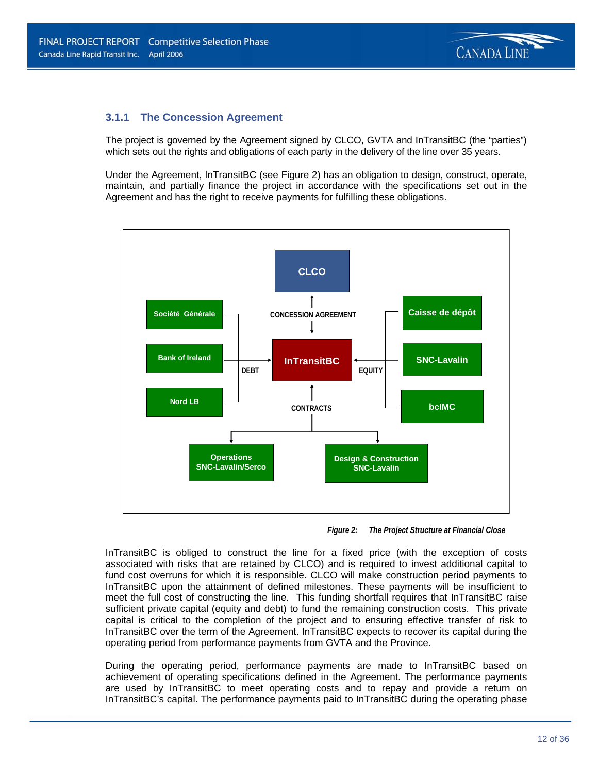### **3.1.1 The Concession Agreement**

The project is governed by the Agreement signed by CLCO, GVTA and InTransitBC (the "parties") which sets out the rights and obligations of each party in the delivery of the line over 35 years.

Under the Agreement, InTransitBC (see Figure 2) has an obligation to design, construct, operate, maintain, and partially finance the project in accordance with the specifications set out in the Agreement and has the right to receive payments for fulfilling these obligations.



*Figure 2: The Project Structure at Financial Close* 

InTransitBC is obliged to construct the line for a fixed price (with the exception of costs associated with risks that are retained by CLCO) and is required to invest additional capital to fund cost overruns for which it is responsible. CLCO will make construction period payments to InTransitBC upon the attainment of defined milestones. These payments will be insufficient to meet the full cost of constructing the line. This funding shortfall requires that InTransitBC raise sufficient private capital (equity and debt) to fund the remaining construction costs. This private capital is critical to the completion of the project and to ensuring effective transfer of risk to InTransitBC over the term of the Agreement. InTransitBC expects to recover its capital during the operating period from performance payments from GVTA and the Province.

During the operating period, performance payments are made to InTransitBC based on achievement of operating specifications defined in the Agreement. The performance payments are used by InTransitBC to meet operating costs and to repay and provide a return on InTransitBC's capital. The performance payments paid to InTransitBC during the operating phase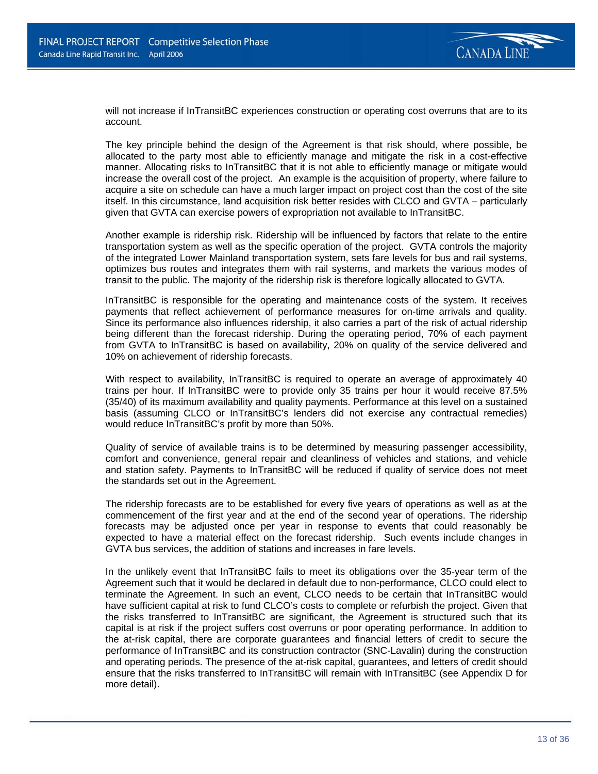

will not increase if InTransitBC experiences construction or operating cost overruns that are to its account.

The key principle behind the design of the Agreement is that risk should, where possible, be allocated to the party most able to efficiently manage and mitigate the risk in a cost-effective manner. Allocating risks to InTransitBC that it is not able to efficiently manage or mitigate would increase the overall cost of the project. An example is the acquisition of property, where failure to acquire a site on schedule can have a much larger impact on project cost than the cost of the site itself. In this circumstance, land acquisition risk better resides with CLCO and GVTA – particularly given that GVTA can exercise powers of expropriation not available to InTransitBC.

Another example is ridership risk. Ridership will be influenced by factors that relate to the entire transportation system as well as the specific operation of the project. GVTA controls the majority of the integrated Lower Mainland transportation system, sets fare levels for bus and rail systems, optimizes bus routes and integrates them with rail systems, and markets the various modes of transit to the public. The majority of the ridership risk is therefore logically allocated to GVTA.

InTransitBC is responsible for the operating and maintenance costs of the system. It receives payments that reflect achievement of performance measures for on-time arrivals and quality. Since its performance also influences ridership, it also carries a part of the risk of actual ridership being different than the forecast ridership. During the operating period, 70% of each payment from GVTA to InTransitBC is based on availability, 20% on quality of the service delivered and 10% on achievement of ridership forecasts.

With respect to availability, InTransitBC is required to operate an average of approximately 40 trains per hour. If InTransitBC were to provide only 35 trains per hour it would receive 87.5% (35/40) of its maximum availability and quality payments. Performance at this level on a sustained basis (assuming CLCO or InTransitBC's lenders did not exercise any contractual remedies) would reduce InTransitBC's profit by more than 50%.

Quality of service of available trains is to be determined by measuring passenger accessibility, comfort and convenience, general repair and cleanliness of vehicles and stations, and vehicle and station safety. Payments to InTransitBC will be reduced if quality of service does not meet the standards set out in the Agreement.

The ridership forecasts are to be established for every five years of operations as well as at the commencement of the first year and at the end of the second year of operations. The ridership forecasts may be adjusted once per year in response to events that could reasonably be expected to have a material effect on the forecast ridership. Such events include changes in GVTA bus services, the addition of stations and increases in fare levels.

In the unlikely event that InTransitBC fails to meet its obligations over the 35-year term of the Agreement such that it would be declared in default due to non-performance, CLCO could elect to terminate the Agreement. In such an event, CLCO needs to be certain that InTransitBC would have sufficient capital at risk to fund CLCO's costs to complete or refurbish the project. Given that the risks transferred to InTransitBC are significant, the Agreement is structured such that its capital is at risk if the project suffers cost overruns or poor operating performance. In addition to the at-risk capital, there are corporate guarantees and financial letters of credit to secure the performance of InTransitBC and its construction contractor (SNC-Lavalin) during the construction and operating periods. The presence of the at-risk capital, guarantees, and letters of credit should ensure that the risks transferred to InTransitBC will remain with InTransitBC (see Appendix D for more detail).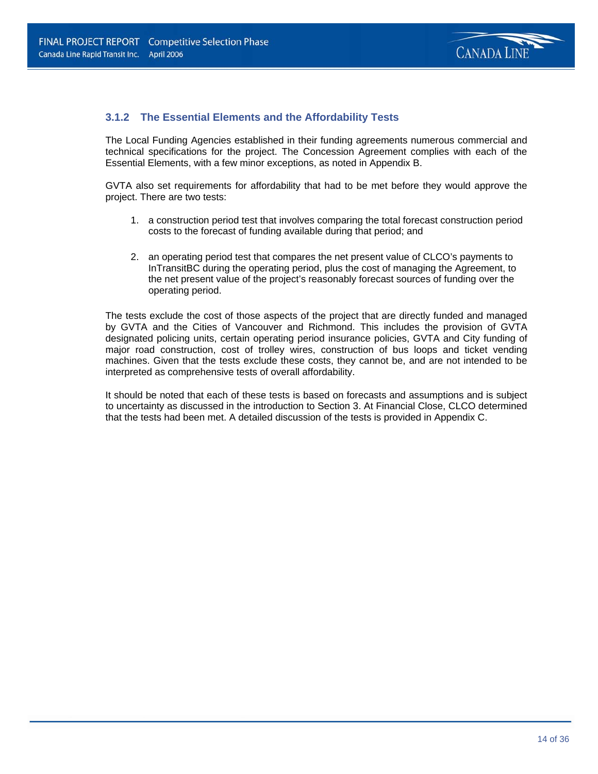

### **3.1.2 The Essential Elements and the Affordability Tests**

The Local Funding Agencies established in their funding agreements numerous commercial and technical specifications for the project. The Concession Agreement complies with each of the Essential Elements, with a few minor exceptions, as noted in Appendix B.

GVTA also set requirements for affordability that had to be met before they would approve the project. There are two tests:

- 1. a construction period test that involves comparing the total forecast construction period costs to the forecast of funding available during that period; and
- 2. an operating period test that compares the net present value of CLCO's payments to InTransitBC during the operating period, plus the cost of managing the Agreement, to the net present value of the project's reasonably forecast sources of funding over the operating period.

The tests exclude the cost of those aspects of the project that are directly funded and managed by GVTA and the Cities of Vancouver and Richmond. This includes the provision of GVTA designated policing units, certain operating period insurance policies, GVTA and City funding of major road construction, cost of trolley wires, construction of bus loops and ticket vending machines. Given that the tests exclude these costs, they cannot be, and are not intended to be interpreted as comprehensive tests of overall affordability.

It should be noted that each of these tests is based on forecasts and assumptions and is subject to uncertainty as discussed in the introduction to Section 3. At Financial Close, CLCO determined that the tests had been met. A detailed discussion of the tests is provided in Appendix C.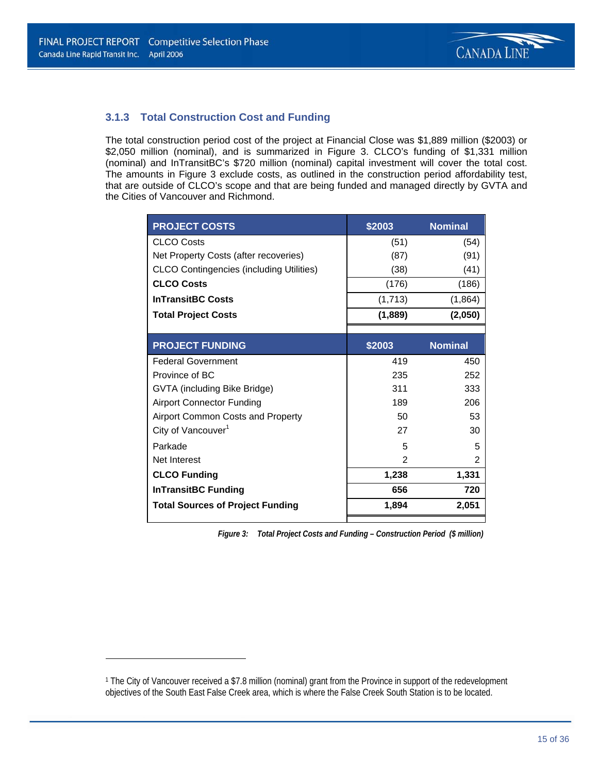$\overline{\phantom{0}}$ 



### **3.1.3 Total Construction Cost and Funding**

The total construction period cost of the project at Financial Close was \$1,889 million (\$2003) or \$2,050 million (nominal), and is summarized in Figure 3. CLCO's funding of \$1,331 million (nominal) and InTransitBC's \$720 million (nominal) capital investment will cover the total cost. The amounts in Figure 3 exclude costs, as outlined in the construction period affordability test, that are outside of CLCO's scope and that are being funded and managed directly by GVTA and the Cities of Vancouver and Richmond.

| <b>PROJECT COSTS</b>                            | \$2003         | <b>Nominal</b> |
|-------------------------------------------------|----------------|----------------|
| <b>CLCO Costs</b>                               | (51)           | (54)           |
| Net Property Costs (after recoveries)           | (87)           | (91)           |
| <b>CLCO Contingencies (including Utilities)</b> | (38)           | (41)           |
| <b>CLCO Costs</b>                               | (176)          | (186)          |
| <b>InTransitBC Costs</b>                        | (1,713)        | (1,864)        |
| <b>Total Project Costs</b>                      | (1,889)        | (2,050)        |
|                                                 |                |                |
| <b>PROJECT FUNDING</b>                          | \$2003         | <b>Nominal</b> |
| <b>Federal Government</b>                       | 419            | 450            |
| Province of BC                                  | 235            | 252            |
| GVTA (including Bike Bridge)                    | 311            | 333            |
| <b>Airport Connector Funding</b>                | 189            | 206            |
| Airport Common Costs and Property               | 50             | 53             |
| City of Vancouver <sup>1</sup>                  | 27             | 30             |
| Parkade                                         | 5              | 5              |
| Net Interest                                    | $\mathfrak{p}$ | 2              |
| <b>CLCO Funding</b>                             | 1,238          | 1,331          |
| <b>InTransitBC Funding</b>                      | 656            | 720            |
| <b>Total Sources of Project Funding</b>         | 1,894          | 2,051          |

*Figure 3: Total Project Costs and Funding – Construction Period (\$ million)1*

<sup>1</sup> The City of Vancouver received a \$7.8 million (nominal) grant from the Province in support of the redevelopment objectives of the South East False Creek area, which is where the False Creek South Station is to be located.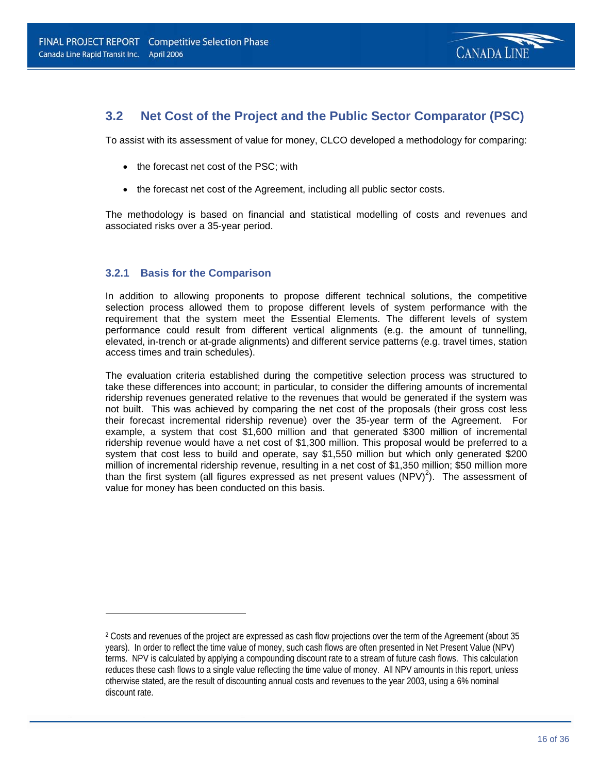

### **3.2 Net Cost of the Project and the Public Sector Comparator (PSC)**

To assist with its assessment of value for money, CLCO developed a methodology for comparing:

- the forecast net cost of the PSC; with
- the forecast net cost of the Agreement, including all public sector costs.

The methodology is based on financial and statistical modelling of costs and revenues and associated risks over a 35-year period.

### **3.2.1 Basis for the Comparison**

 $\overline{a}$ 

In addition to allowing proponents to propose different technical solutions, the competitive selection process allowed them to propose different levels of system performance with the requirement that the system meet the Essential Elements. The different levels of system performance could result from different vertical alignments (e.g. the amount of tunnelling, elevated, in-trench or at-grade alignments) and different service patterns (e.g. travel times, station access times and train schedules).

The evaluation criteria established during the competitive selection process was structured to take these differences into account; in particular, to consider the differing amounts of incremental ridership revenues generated relative to the revenues that would be generated if the system was not built. This was achieved by comparing the net cost of the proposals (their gross cost less their forecast incremental ridership revenue) over the 35-year term of the Agreement. For example, a system that cost \$1,600 million and that generated \$300 million of incremental ridership revenue would have a net cost of \$1,300 million. This proposal would be preferred to a system that cost less to build and operate, say \$1,550 million but which only generated \$200 million of incremental ridership revenue, resulting in a net cost of \$1,350 million; \$50 million more than the first system (all figures expressed as net present values  $(NPV)^2$ ). The assessment of value for money has been conducted on this basis.

<sup>2</sup> Costs and revenues of the project are expressed as cash flow projections over the term of the Agreement (about 35 years). In order to reflect the time value of money, such cash flows are often presented in Net Present Value (NPV) terms. NPV is calculated by applying a compounding discount rate to a stream of future cash flows. This calculation reduces these cash flows to a single value reflecting the time value of money. All NPV amounts in this report, unless otherwise stated, are the result of discounting annual costs and revenues to the year 2003, using a 6% nominal discount rate.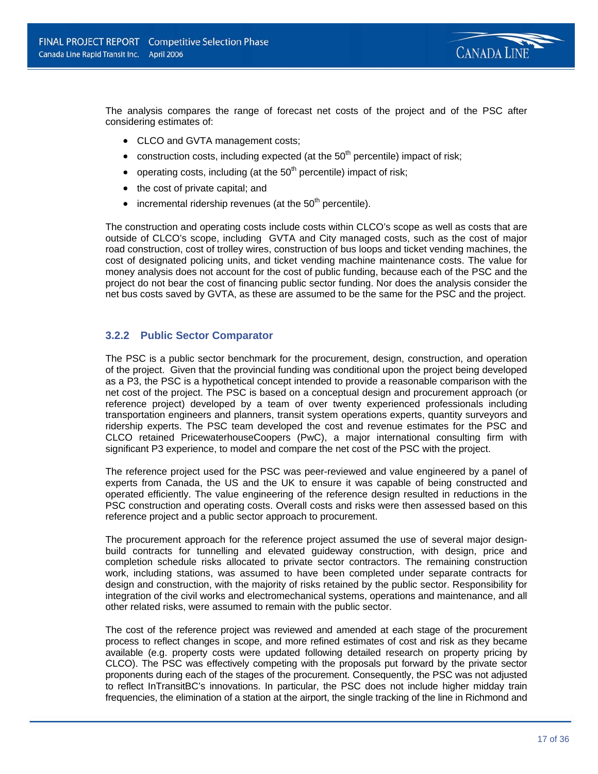

The analysis compares the range of forecast net costs of the project and of the PSC after considering estimates of:

- CLCO and GVTA management costs;
- construction costs, including expected (at the  $50<sup>th</sup>$  percentile) impact of risk;
- operating costs, including (at the  $50<sup>th</sup>$  percentile) impact of risk;
- the cost of private capital; and
- incremental ridership revenues (at the  $50<sup>th</sup>$  percentile).

The construction and operating costs include costs within CLCO's scope as well as costs that are outside of CLCO's scope, including GVTA and City managed costs, such as the cost of major road construction, cost of trolley wires, construction of bus loops and ticket vending machines, the cost of designated policing units, and ticket vending machine maintenance costs. The value for money analysis does not account for the cost of public funding, because each of the PSC and the project do not bear the cost of financing public sector funding. Nor does the analysis consider the net bus costs saved by GVTA, as these are assumed to be the same for the PSC and the project.

### **3.2.2 Public Sector Comparator**

The PSC is a public sector benchmark for the procurement, design, construction, and operation of the project. Given that the provincial funding was conditional upon the project being developed as a P3, the PSC is a hypothetical concept intended to provide a reasonable comparison with the net cost of the project. The PSC is based on a conceptual design and procurement approach (or reference project) developed by a team of over twenty experienced professionals including transportation engineers and planners, transit system operations experts, quantity surveyors and ridership experts. The PSC team developed the cost and revenue estimates for the PSC and CLCO retained PricewaterhouseCoopers (PwC), a major international consulting firm with significant P3 experience, to model and compare the net cost of the PSC with the project.

The reference project used for the PSC was peer-reviewed and value engineered by a panel of experts from Canada, the US and the UK to ensure it was capable of being constructed and operated efficiently. The value engineering of the reference design resulted in reductions in the PSC construction and operating costs. Overall costs and risks were then assessed based on this reference project and a public sector approach to procurement.

The procurement approach for the reference project assumed the use of several major designbuild contracts for tunnelling and elevated guideway construction, with design, price and completion schedule risks allocated to private sector contractors. The remaining construction work, including stations, was assumed to have been completed under separate contracts for design and construction, with the majority of risks retained by the public sector. Responsibility for integration of the civil works and electromechanical systems, operations and maintenance, and all other related risks, were assumed to remain with the public sector.

The cost of the reference project was reviewed and amended at each stage of the procurement process to reflect changes in scope, and more refined estimates of cost and risk as they became available (e.g. property costs were updated following detailed research on property pricing by CLCO). The PSC was effectively competing with the proposals put forward by the private sector proponents during each of the stages of the procurement. Consequently, the PSC was not adjusted to reflect InTransitBC's innovations. In particular, the PSC does not include higher midday train frequencies, the elimination of a station at the airport, the single tracking of the line in Richmond and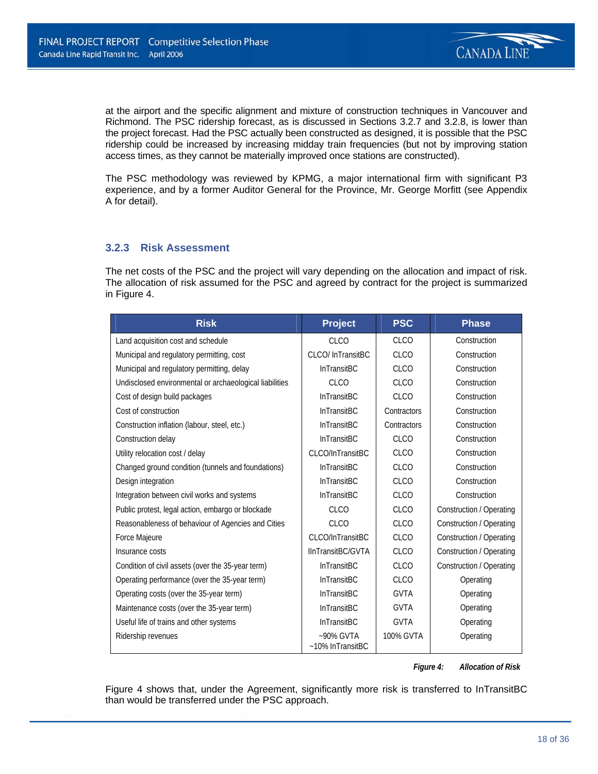

at the airport and the specific alignment and mixture of construction techniques in Vancouver and Richmond. The PSC ridership forecast, as is discussed in Sections 3.2.7 and 3.2.8, is lower than the project forecast. Had the PSC actually been constructed as designed, it is possible that the PSC ridership could be increased by increasing midday train frequencies (but not by improving station access times, as they cannot be materially improved once stations are constructed).

The PSC methodology was reviewed by KPMG, a major international firm with significant P3 experience, and by a former Auditor General for the Province, Mr. George Morfitt (see Appendix A for detail).

### **3.2.3 Risk Assessment**

The net costs of the PSC and the project will vary depending on the allocation and impact of risk. The allocation of risk assumed for the PSC and agreed by contract for the project is summarized in Figure 4.

| <b>Risk</b>                                             | <b>Project</b>                   | <b>PSC</b>  | <b>Phase</b>             |
|---------------------------------------------------------|----------------------------------|-------------|--------------------------|
| Land acquisition cost and schedule                      | <b>CLCO</b>                      | <b>CLCO</b> | Construction             |
| Municipal and regulatory permitting, cost               | CLCO/ InTransitBC                | <b>CLCO</b> | Construction             |
| Municipal and regulatory permitting, delay              | <b>InTransitBC</b>               | CLCO        | Construction             |
| Undisclosed environmental or archaeological liabilities | <b>CLCO</b>                      | <b>CLCO</b> | Construction             |
| Cost of design build packages                           | <b>InTransitBC</b>               | <b>CLCO</b> | Construction             |
| Cost of construction                                    | <b>InTransitBC</b>               | Contractors | Construction             |
| Construction inflation (labour, steel, etc.)            | <b>InTransitBC</b>               | Contractors | Construction             |
| Construction delay                                      | <b>InTransitBC</b>               | <b>CLCO</b> | Construction             |
| Utility relocation cost / delay                         | CLCO/InTransitBC                 | <b>CLCO</b> | Construction             |
| Changed ground condition (tunnels and foundations)      | InTransitBC                      | <b>CLCO</b> | Construction             |
| Design integration                                      | <b>InTransitBC</b>               | <b>CLCO</b> | Construction             |
| Integration between civil works and systems             | <b>InTransitBC</b>               | <b>CLCO</b> | Construction             |
| Public protest, legal action, embargo or blockade       | <b>CLCO</b>                      | <b>CLCO</b> | Construction / Operating |
| Reasonableness of behaviour of Agencies and Cities      | <b>CLCO</b>                      | <b>CLCO</b> | Construction / Operating |
| Force Majeure                                           | CLCO/InTransitBC                 | <b>CLCO</b> | Construction / Operating |
| Insurance costs                                         | IInTransitBC/GVTA                | <b>CLCO</b> | Construction / Operating |
| Condition of civil assets (over the 35-year term)       | <b>InTransitBC</b>               | <b>CLCO</b> | Construction / Operating |
| Operating performance (over the 35-year term)           | <b>InTransitBC</b>               | <b>CLCO</b> | Operating                |
| Operating costs (over the 35-year term)                 | <b>InTransitBC</b>               | <b>GVTA</b> | Operating                |
| Maintenance costs (over the 35-year term)               | <b>InTransitBC</b>               | <b>GVTA</b> | Operating                |
| Useful life of trains and other systems                 | InTransitBC                      | <b>GVTA</b> | Operating                |
| Ridership revenues                                      | $~50\%$ GVTA<br>~10% InTransitBC | 100% GVTA   | Operating                |

#### *Figure 4: Allocation of Risk*

Figure 4 shows that, under the Agreement, significantly more risk is transferred to InTransitBC than would be transferred under the PSC approach.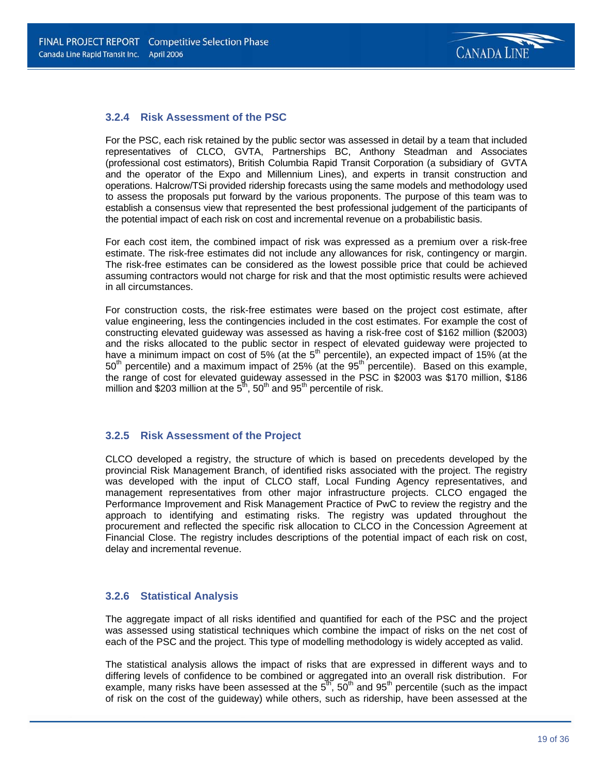### **3.2.4 Risk Assessment of the PSC**

For the PSC, each risk retained by the public sector was assessed in detail by a team that included representatives of CLCO, GVTA, Partnerships BC, Anthony Steadman and Associates (professional cost estimators), British Columbia Rapid Transit Corporation (a subsidiary of GVTA and the operator of the Expo and Millennium Lines), and experts in transit construction and operations. Halcrow/TSi provided ridership forecasts using the same models and methodology used to assess the proposals put forward by the various proponents. The purpose of this team was to establish a consensus view that represented the best professional judgement of the participants of the potential impact of each risk on cost and incremental revenue on a probabilistic basis.

For each cost item, the combined impact of risk was expressed as a premium over a risk-free estimate. The risk-free estimates did not include any allowances for risk, contingency or margin. The risk-free estimates can be considered as the lowest possible price that could be achieved assuming contractors would not charge for risk and that the most optimistic results were achieved in all circumstances.

For construction costs, the risk-free estimates were based on the project cost estimate, after value engineering, less the contingencies included in the cost estimates. For example the cost of constructing elevated guideway was assessed as having a risk-free cost of \$162 million (\$2003) and the risks allocated to the public sector in respect of elevated guideway were projected to have a minimum impact on cost of 5% (at the  $5<sup>th</sup>$  percentile), an expected impact of 15% (at the  $50<sup>th</sup>$  percentile) and a maximum impact of 25% (at the  $95<sup>th</sup>$  percentile). Based on this example, the range of cost for elevated guideway assessed in the PSC in \$2003 was \$170 million, \$186 million and \$203 million at the  $5<sup>th</sup>$ , 50<sup>th</sup> and 95<sup>th</sup> percentile of risk.

### **3.2.5 Risk Assessment of the Project**

CLCO developed a registry, the structure of which is based on precedents developed by the provincial Risk Management Branch, of identified risks associated with the project. The registry was developed with the input of CLCO staff, Local Funding Agency representatives, and management representatives from other major infrastructure projects. CLCO engaged the Performance Improvement and Risk Management Practice of PwC to review the registry and the approach to identifying and estimating risks. The registry was updated throughout the procurement and reflected the specific risk allocation to CLCO in the Concession Agreement at Financial Close. The registry includes descriptions of the potential impact of each risk on cost, delay and incremental revenue.

### **3.2.6 Statistical Analysis**

The aggregate impact of all risks identified and quantified for each of the PSC and the project was assessed using statistical techniques which combine the impact of risks on the net cost of each of the PSC and the project. This type of modelling methodology is widely accepted as valid.

The statistical analysis allows the impact of risks that are expressed in different ways and to differing levels of confidence to be combined or aggregated into an overall risk distribution. For example, many risks have been assessed at the  $5<sup>th</sup>$ ,  $50<sup>th</sup>$  and  $95<sup>th</sup>$  percentile (such as the impact of risk on the cost of the guideway) while others, such as ridership, have been assessed at the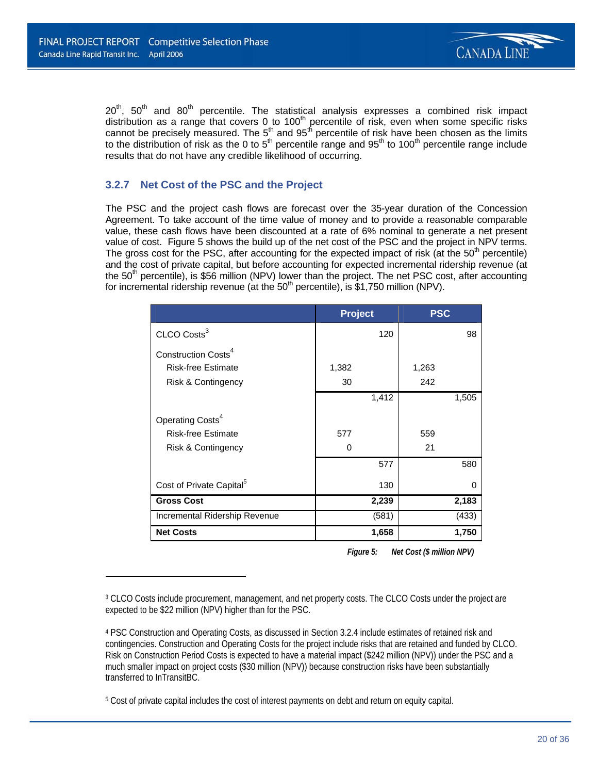$\overline{\phantom{0}}$ 



 $20<sup>th</sup>$ ,  $50<sup>th</sup>$  and  $80<sup>th</sup>$  percentile. The statistical analysis expresses a combined risk impact distribution as a range that covers 0 to 100<sup>th</sup> percentile of risk, even when some specific risks cannot be precisely measured. The  $5<sup>th</sup>$  and  $95<sup>th</sup>$  percentile of risk have been chosen as the limits to the distribution of risk as the 0 to 5<sup>th</sup> percentile range and 95<sup>th</sup> to 100<sup>th</sup> percentile range include results that do not have any credible likelihood of occurring.

### **3.2.7 Net Cost of the PSC and the Project**

The PSC and the project cash flows are forecast over the 35-year duration of the Concession Agreement. To take account of the time value of money and to provide a reasonable comparable value, these cash flows have been discounted at a rate of 6% nominal to generate a net present value of cost. Figure 5 shows the build up of the net cost of the PSC and the project in NPV terms. The gross cost for the PSC, after accounting for the expected impact of risk (at the  $50<sup>th</sup>$  percentile) and the cost of private capital, but before accounting for expected incremental ridership revenue (at the 50<sup>th</sup> percentile), is \$56 million (NPV) lower than the project. The net PSC cost, after accounting for incremental ridership revenue (at the  $50<sup>th</sup>$  percentile), is \$1,750 million (NPV).

|                                      | <b>Project</b> |       | <b>PSC</b> |       |
|--------------------------------------|----------------|-------|------------|-------|
| CLCO Costs <sup>3</sup>              |                | 120   |            | 98    |
| Construction Costs <sup>4</sup>      |                |       |            |       |
| <b>Risk-free Estimate</b>            | 1,382          |       | 1,263      |       |
| Risk & Contingency                   | 30             |       | 242        |       |
|                                      |                | 1,412 |            | 1,505 |
| Operating Costs <sup>4</sup>         |                |       |            |       |
| <b>Risk-free Estimate</b>            | 577            |       | 559        |       |
| Risk & Contingency                   | O              |       | 21         |       |
|                                      |                | 577   |            | 580   |
| Cost of Private Capital <sup>5</sup> |                | 130   |            | 0     |
| <b>Gross Cost</b>                    |                | 2,239 |            | 2,183 |
| Incremental Ridership Revenue        |                | (581) |            | (433) |
| <b>Net Costs</b>                     |                | 1,658 |            | 1,750 |

*Figure 5:* Net Cost (\$ million NPV)

<sup>3</sup> CLCO Costs include procurement, management, and net property costs. The CLCO Costs under the project are expected to be \$22 million (NPV) higher than for the PSC.

<sup>4</sup> PSC Construction and Operating Costs, as discussed in Section 3.2.4 include estimates of retained risk and contingencies. Construction and Operating Costs for the project include risks that are retained and funded by CLCO. Risk on Construction Period Costs is expected to have a material impact (\$242 million (NPV)) under the PSC and a much smaller impact on project costs (\$30 million (NPV)) because construction risks have been substantially transferred to InTransitBC.

<sup>5</sup> Cost of private capital includes the cost of interest payments on debt and return on equity capital.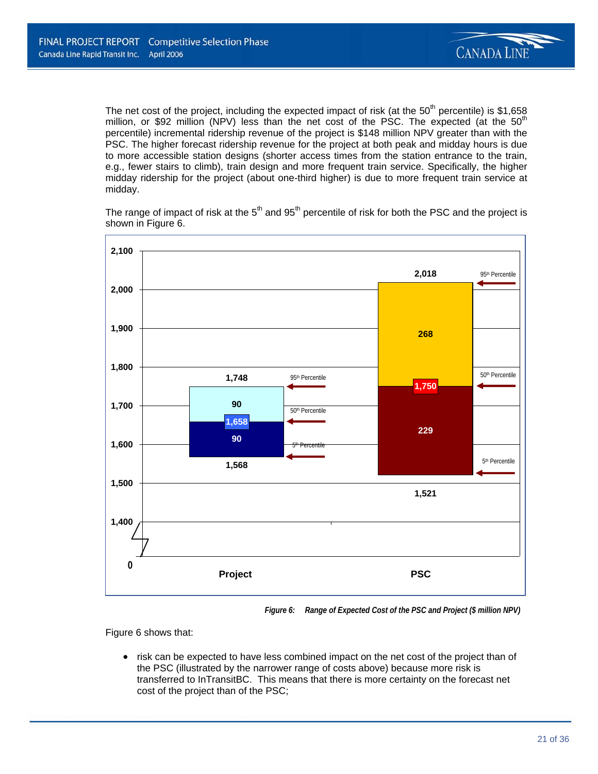

The net cost of the project, including the expected impact of risk (at the  $50<sup>th</sup>$  percentile) is \$1,658 million, or \$92 million (NPV) less than the net cost of the PSC. The expected (at the  $50<sup>th</sup>$ percentile) incremental ridership revenue of the project is \$148 million NPV greater than with the PSC. The higher forecast ridership revenue for the project at both peak and midday hours is due to more accessible station designs (shorter access times from the station entrance to the train, e.g., fewer stairs to climb), train design and more frequent train service. Specifically, the higher midday ridership for the project (about one-third higher) is due to more frequent train service at midday.

The range of impact of risk at the  $5<sup>th</sup>$  and  $95<sup>th</sup>$  percentile of risk for both the PSC and the project is shown in Figure 6.



*Figure 6: Range of Expected Cost of the PSC and Project (\$ million NPV)* 

Figure 6 shows that:

• risk can be expected to have less combined impact on the net cost of the project than of the PSC (illustrated by the narrower range of costs above) because more risk is transferred to InTransitBC. This means that there is more certainty on the forecast net cost of the project than of the PSC;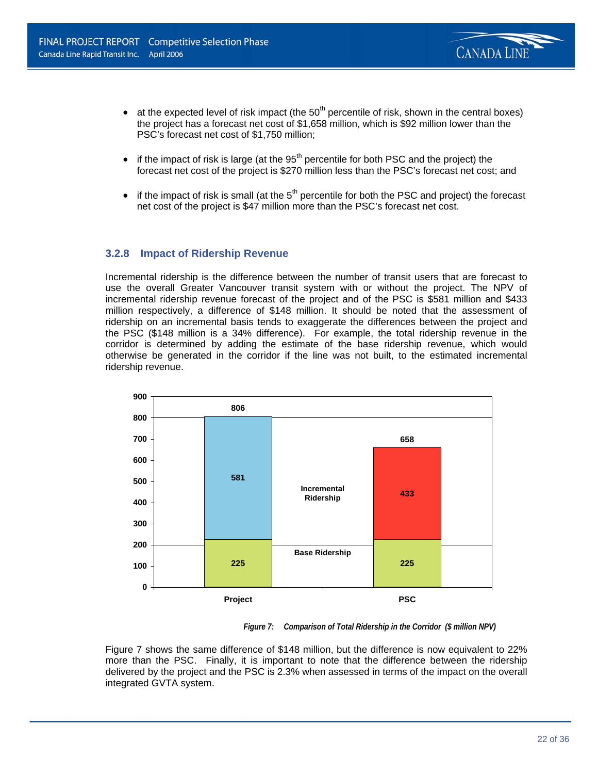

- at the expected level of risk impact (the  $50<sup>th</sup>$  percentile of risk, shown in the central boxes) the project has a forecast net cost of \$1,658 million, which is \$92 million lower than the PSC's forecast net cost of \$1,750 million;
- $\bullet$  if the impact of risk is large (at the 95<sup>th</sup> percentile for both PSC and the project) the forecast net cost of the project is \$270 million less than the PSC's forecast net cost; and
- if the impact of risk is small (at the  $5<sup>th</sup>$  percentile for both the PSC and project) the forecast net cost of the project is \$47 million more than the PSC's forecast net cost.

### **3.2.8 Impact of Ridership Revenue**

Incremental ridership is the difference between the number of transit users that are forecast to use the overall Greater Vancouver transit system with or without the project. The NPV of incremental ridership revenue forecast of the project and of the PSC is \$581 million and \$433 million respectively, a difference of \$148 million. It should be noted that the assessment of ridership on an incremental basis tends to exaggerate the differences between the project and the PSC (\$148 million is a 34% difference). For example, the total ridership revenue in the corridor is determined by adding the estimate of the base ridership revenue, which would otherwise be generated in the corridor if the line was not built, to the estimated incremental ridership revenue.



*Figure 7: Comparison of Total Ridership in the Corridor (\$ million NPV)* 

Figure 7 shows the same difference of \$148 million, but the difference is now equivalent to 22% more than the PSC. Finally, it is important to note that the difference between the ridership delivered by the project and the PSC is 2.3% when assessed in terms of the impact on the overall integrated GVTA system.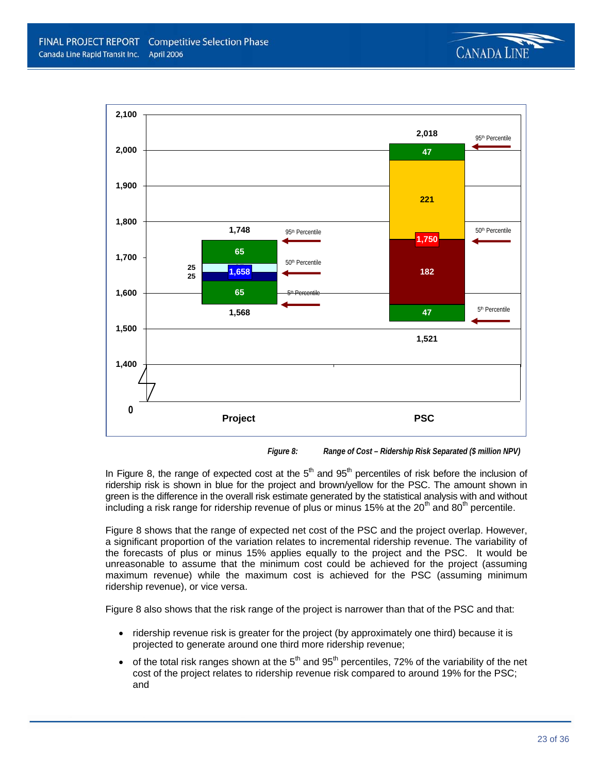



*Figure 8: Range of Cost – Ridership Risk Separated (\$ million NPV)* 

In Figure 8, the range of expected cost at the  $5<sup>th</sup>$  and  $95<sup>th</sup>$  percentiles of risk before the inclusion of ridership risk is shown in blue for the project and brown/yellow for the PSC. The amount shown in green is the difference in the overall risk estimate generated by the statistical analysis with and without including a risk range for ridership revenue of plus or minus 15% at the 20<sup>th</sup> and 80<sup>th</sup> percentile.

Figure 8 shows that the range of expected net cost of the PSC and the project overlap. However, a significant proportion of the variation relates to incremental ridership revenue. The variability of the forecasts of plus or minus 15% applies equally to the project and the PSC. It would be unreasonable to assume that the minimum cost could be achieved for the project (assuming maximum revenue) while the maximum cost is achieved for the PSC (assuming minimum ridership revenue), or vice versa.

Figure 8 also shows that the risk range of the project is narrower than that of the PSC and that:

- ridership revenue risk is greater for the project (by approximately one third) because it is projected to generate around one third more ridership revenue;
- of the total risk ranges shown at the  $5<sup>th</sup>$  and  $95<sup>th</sup>$  percentiles, 72% of the variability of the net cost of the project relates to ridership revenue risk compared to around 19% for the PSC; and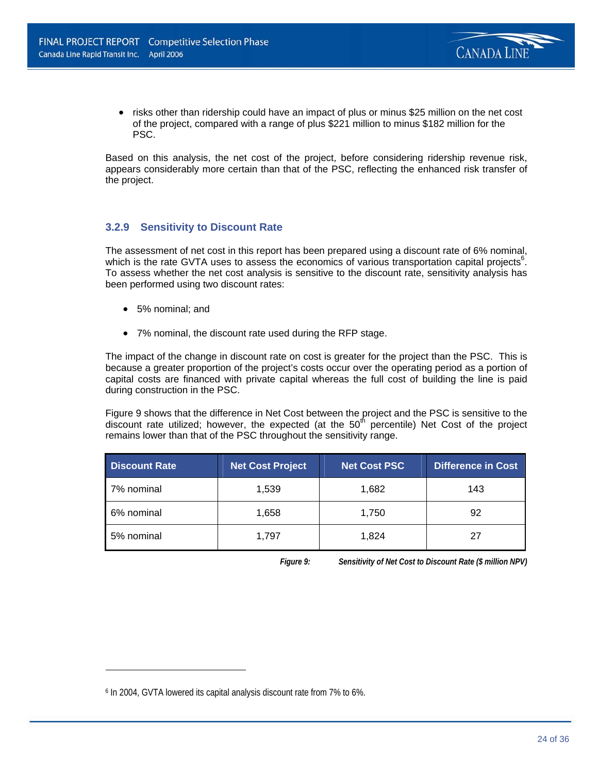

• risks other than ridership could have an impact of plus or minus \$25 million on the net cost of the project, compared with a range of plus \$221 million to minus \$182 million for the PSC.

Based on this analysis, the net cost of the project, before considering ridership revenue risk, appears considerably more certain than that of the PSC, reflecting the enhanced risk transfer of the project.

### **3.2.9 Sensitivity to Discount Rate**

The assessment of net cost in this report has been prepared using a discount rate of 6% nominal, which is the rate GVTA uses to assess the economics of various transportation capital projects<sup>6</sup>. To assess whether the net cost analysis is sensitive to the discount rate, sensitivity analysis has been performed using two discount rates:

• 5% nominal; and

 $\overline{a}$ 

• 7% nominal, the discount rate used during the RFP stage.

The impact of the change in discount rate on cost is greater for the project than the PSC. This is because a greater proportion of the project's costs occur over the operating period as a portion of capital costs are financed with private capital whereas the full cost of building the line is paid during construction in the PSC.

Figure 9 shows that the difference in Net Cost between the project and the PSC is sensitive to the discount rate utilized; however, the expected (at the  $50<sup>th</sup>$  percentile) Net Cost of the project remains lower than that of the PSC throughout the sensitivity range.

| <b>Discount Rate</b> | Net Cost Project | Net Cost PSC | Difference in Cost |
|----------------------|------------------|--------------|--------------------|
| 7% nominal           | 1,539            | 1,682        | 143                |
| 6% nominal           | 1,658            | 1,750        | 92                 |
| 5% nominal           | 1,797            | 1,824        | 27                 |

*Figure 9: Sensitivity of Net Cost to Discount Rate (\$ million NPV)* 

<sup>6</sup> In 2004, GVTA lowered its capital analysis discount rate from 7% to 6%.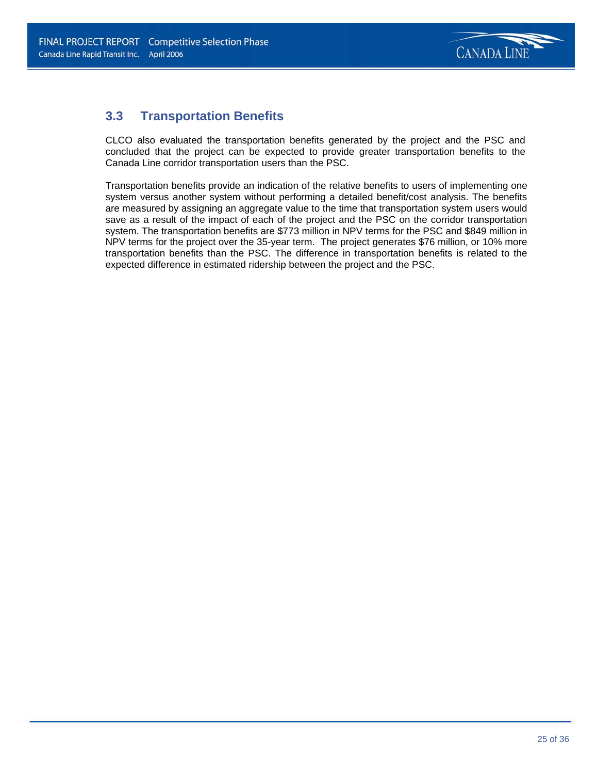

### **3.3 Transportation Benefits**

CLCO also evaluated the transportation benefits generated by the project and the PSC and concluded that the project can be expected to provide greater transportation benefits to the Canada Line corridor transportation users than the PSC.

Transportation benefits provide an indication of the relative benefits to users of implementing one system versus another system without performing a detailed benefit/cost analysis. The benefits are measured by assigning an aggregate value to the time that transportation system users would save as a result of the impact of each of the project and the PSC on the corridor transportation system. The transportation benefits are \$773 million in NPV terms for the PSC and \$849 million in NPV terms for the project over the 35-year term.The project generates \$76 million, or 10% more transportation benefits than the PSC. The difference in transportation benefits is related to the expected difference in estimated ridership between the project and the PSC.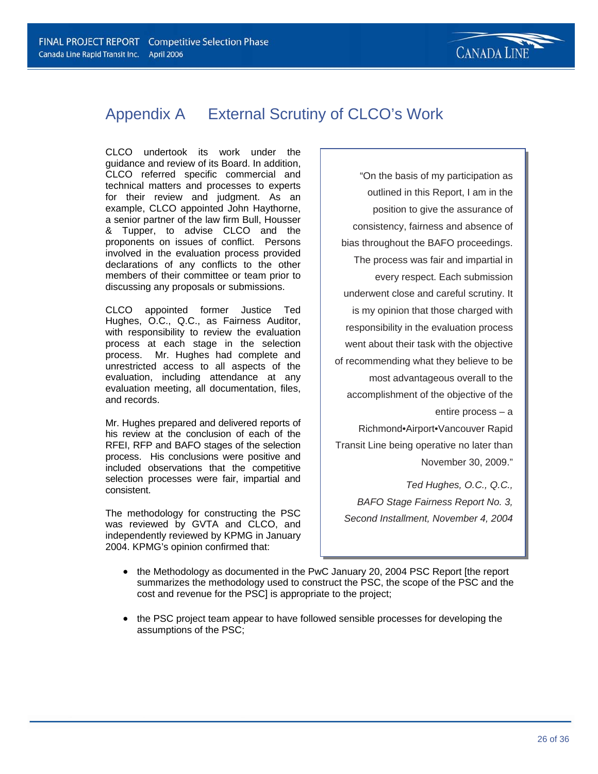## Appendix A External Scrutiny of CLCO's Work

CLCO undertook its work under the guidance and review of its Board. In addition, CLCO referred specific commercial and technical matters and processes to experts for their review and judgment. As an example, CLCO appointed John Haythorne, a senior partner of the law firm Bull, Housser & Tupper, to advise CLCO and the proponents on issues of conflict. Persons involved in the evaluation process provided declarations of any conflicts to the other members of their committee or team prior to discussing any proposals or submissions.

CLCO appointed former Justice Ted Hughes, O.C., Q.C., as Fairness Auditor, with responsibility to review the evaluation process at each stage in the selection process. Mr. Hughes had complete and unrestricted access to all aspects of the evaluation, including attendance at any evaluation meeting, all documentation, files, and records.

Mr. Hughes prepared and delivered reports of his review at the conclusion of each of the RFEI, RFP and BAFO stages of the selection process. His conclusions were positive and included observations that the competitive selection processes were fair, impartial and consistent.

The methodology for constructing the PSC was reviewed by GVTA and CLCO, and independently reviewed by KPMG in January 2004. KPMG's opinion confirmed that:

"On the basis of my participation as outlined in this Report, I am in the position to give the assurance of consistency, fairness and absence of bias throughout the BAFO proceedings. The process was fair and impartial in every respect. Each submission underwent close and careful scrutiny. It is my opinion that those charged with responsibility in the evaluation process went about their task with the objective of recommending what they believe to be most advantageous overall to the accomplishment of the objective of the entire process – a Richmond•Airport•Vancouver Rapid Transit Line being operative no later than November 30, 2009."

*Ted Hughes, O.C., Q.C., BAFO Stage Fairness Report No. 3, Second Installment, November 4, 2004*

- the Methodology as documented in the PwC January 20, 2004 PSC Report [the report summarizes the methodology used to construct the PSC, the scope of the PSC and the cost and revenue for the PSC] is appropriate to the project;
- the PSC project team appear to have followed sensible processes for developing the assumptions of the PSC;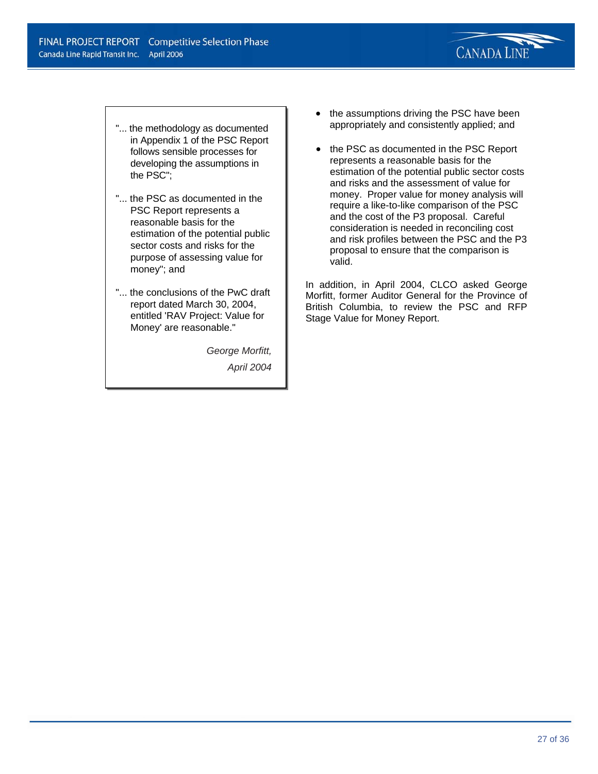

- "... the methodology as documented in Appendix 1 of the PSC Report follows sensible processes for developing the assumptions in the PSC";
- "... the PSC as documented in the PSC Report represents a reasonable basis for the estimation of the potential public sector costs and risks for the purpose of assessing value for money"; and
- "... the conclusions of the PwC draft report dated March 30, 2004, entitled 'RAV Project: Value for Money' are reasonable."

*George Morfitt, April 2004*

- the assumptions driving the PSC have been appropriately and consistently applied; and
- the PSC as documented in the PSC Report represents a reasonable basis for the estimation of the potential public sector costs and risks and the assessment of value for money. Proper value for money analysis will require a like-to-like comparison of the PSC and the cost of the P3 proposal. Careful consideration is needed in reconciling cost and risk profiles between the PSC and the P3 proposal to ensure that the comparison is valid.

In addition, in April 2004, CLCO asked George Morfitt, former Auditor General for the Province of British Columbia, to review the PSC and RFP Stage Value for Money Report.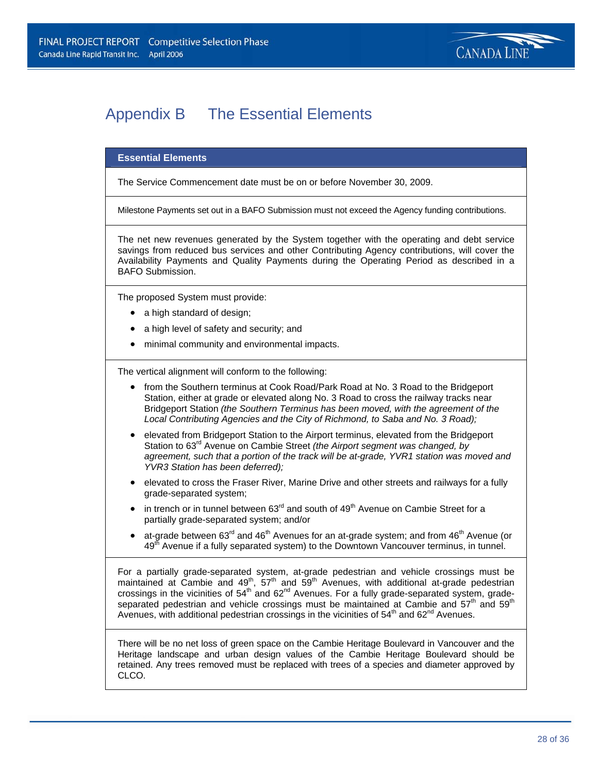## Appendix B The Essential Elements

#### **Essential Elements**

The Service Commencement date must be on or before November 30, 2009.

Milestone Payments set out in a BAFO Submission must not exceed the Agency funding contributions.

The net new revenues generated by the System together with the operating and debt service savings from reduced bus services and other Contributing Agency contributions, will cover the Availability Payments and Quality Payments during the Operating Period as described in a BAFO Submission.

The proposed System must provide:

- a high standard of design;
- a high level of safety and security; and
- minimal community and environmental impacts.

The vertical alignment will conform to the following:

- from the Southern terminus at Cook Road/Park Road at No. 3 Road to the Bridgeport Station, either at grade or elevated along No. 3 Road to cross the railway tracks near Bridgeport Station *(the Southern Terminus has been moved, with the agreement of the Local Contributing Agencies and the City of Richmond, to Saba and No. 3 Road);*
- elevated from Bridgeport Station to the Airport terminus, elevated from the Bridgeport Station to 63rd Avenue on Cambie Street *(the Airport segment was changed, by agreement, such that a portion of the track will be at-grade, YVR1 station was moved and YVR3 Station has been deferred);*
- elevated to cross the Fraser River, Marine Drive and other streets and railways for a fully grade-separated system;
- in trench or in tunnel between  $63<sup>rd</sup>$  and south of  $49<sup>th</sup>$  Avenue on Cambie Street for a partially grade-separated system; and/or
- at-grade between  $63^{\text{rd}}$  and  $46^{\text{th}}$  Avenues for an at-grade system; and from  $46^{\text{th}}$  Avenue (or 49<sup>th</sup> Avenue if a fully separated system) to the Downtown Vancouver terminus, in tunnel.

For a partially grade-separated system, at-grade pedestrian and vehicle crossings must be maintained at Cambie and  $49<sup>th</sup>$ , 57<sup>th</sup> and 59<sup>th</sup> Avenues, with additional at-grade pedestrian crossings in the vicinities of  $54<sup>th</sup>$  and  $62<sup>nd</sup>$  Avenues. For a fully grade-separated system, gradeseparated pedestrian and vehicle crossings must be maintained at Cambie and  $57<sup>th</sup>$  and  $59<sup>th</sup>$ Avenues, with additional pedestrian crossings in the vicinities of  $54<sup>th</sup>$  and  $62<sup>nd</sup>$  Avenues.

There will be no net loss of green space on the Cambie Heritage Boulevard in Vancouver and the Heritage landscape and urban design values of the Cambie Heritage Boulevard should be retained. Any trees removed must be replaced with trees of a species and diameter approved by CLCO.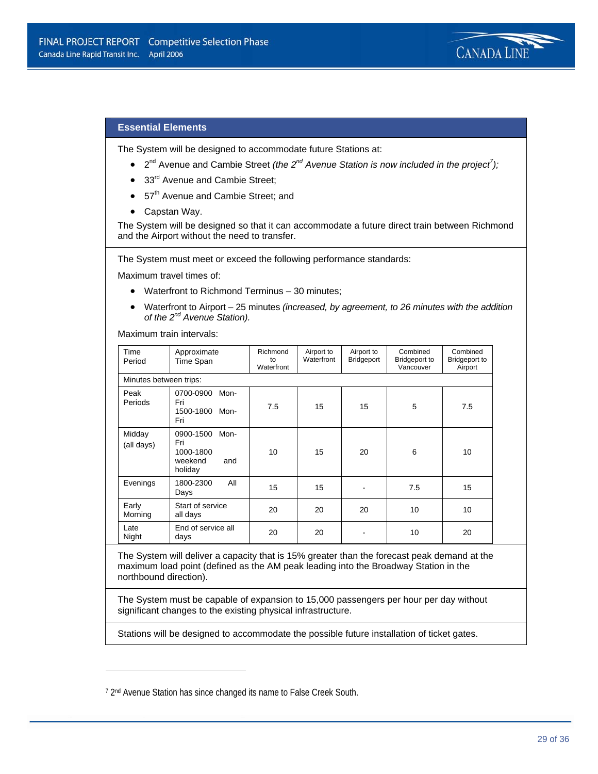

### **Essential Elements**

The System will be designed to accommodate future Stations at:

- 2<sup>nd</sup> Avenue and Cambie Street *(the 2<sup>nd</sup> Avenue Station is now included in the project<sup>7</sup>);*
- 33<sup>rd</sup> Avenue and Cambie Street:
- 57<sup>th</sup> Avenue and Cambie Street; and
- Capstan Way.

The System will be designed so that it can accommodate a future direct train between Richmond and the Airport without the need to transfer.

The System must meet or exceed the following performance standards:

Maximum travel times of:

- Waterfront to Richmond Terminus 30 minutes;
- Waterfront to Airport 25 minutes *(increased, by agreement, to 26 minutes with the addition of the 2nd Avenue Station).*

Maximum train intervals:

| Time<br>Period         | Approximate<br>Time Span                                           | Richmond<br>to<br>Waterfront | Airport to<br>Waterfront | Airport to<br>Bridgeport | Combined<br>Bridgeport to<br>Vancouver | Combined<br><b>Bridgeport to</b><br>Airport |
|------------------------|--------------------------------------------------------------------|------------------------------|--------------------------|--------------------------|----------------------------------------|---------------------------------------------|
| Minutes between trips: |                                                                    |                              |                          |                          |                                        |                                             |
| Peak<br>Periods        | 0700-0900<br>Mon-<br>Fri<br>1500-1800 Mon-<br>Fri                  | 7.5                          | 15                       | 15                       | 5                                      | 7.5                                         |
| Midday<br>(all days)   | 0900-1500<br>Mon-<br>Fri<br>1000-1800<br>weekend<br>and<br>holiday | 10                           | 15                       | 20                       | 6                                      | 10                                          |
| Evenings               | All<br>1800-2300<br>Days                                           | 15                           | 15                       |                          | 7.5                                    | 15                                          |
| Early<br>Morning       | Start of service<br>all days                                       | 20                           | 20                       | 20                       | 10                                     | 10                                          |
| Late<br>Night          | End of service all<br>days                                         | 20                           | 20                       |                          | 10                                     | 20                                          |

The System will deliver a capacity that is 15% greater than the forecast peak demand at the maximum load point (defined as the AM peak leading into the Broadway Station in the northbound direction).

The System must be capable of expansion to 15,000 passengers per hour per day without significant changes to the existing physical infrastructure.

Stations will be designed to accommodate the possible future installation of ticket gates.

 $\overline{a}$ 

<sup>7 2&</sup>lt;sup>nd</sup> Avenue Station has since changed its name to False Creek South.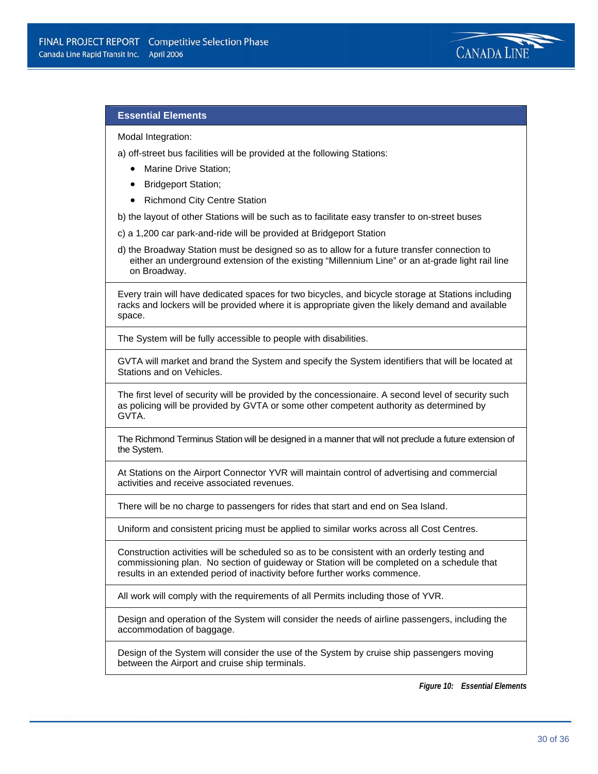

### **Essential Elements**

Modal Integration:

a) off-street bus facilities will be provided at the following Stations:

- Marine Drive Station;
- Bridgeport Station;
- Richmond City Centre Station

b) the layout of other Stations will be such as to facilitate easy transfer to on-street buses

c) a 1,200 car park-and-ride will be provided at Bridgeport Station

d) the Broadway Station must be designed so as to allow for a future transfer connection to either an underground extension of the existing "Millennium Line" or an at-grade light rail line on Broadway.

Every train will have dedicated spaces for two bicycles, and bicycle storage at Stations including racks and lockers will be provided where it is appropriate given the likely demand and available space.

The System will be fully accessible to people with disabilities.

GVTA will market and brand the System and specify the System identifiers that will be located at Stations and on Vehicles.

The first level of security will be provided by the concessionaire. A second level of security such as policing will be provided by GVTA or some other competent authority as determined by GVTA.

The Richmond Terminus Station will be designed in a manner that will not preclude a future extension of the System.

At Stations on the Airport Connector YVR will maintain control of advertising and commercial activities and receive associated revenues.

There will be no charge to passengers for rides that start and end on Sea Island.

Uniform and consistent pricing must be applied to similar works across all Cost Centres.

Construction activities will be scheduled so as to be consistent with an orderly testing and commissioning plan. No section of guideway or Station will be completed on a schedule that results in an extended period of inactivity before further works commence.

All work will comply with the requirements of all Permits including those of YVR.

Design and operation of the System will consider the needs of airline passengers, including the accommodation of baggage.

Design of the System will consider the use of the System by cruise ship passengers moving between the Airport and cruise ship terminals.

*Figure 10: Essential Elements*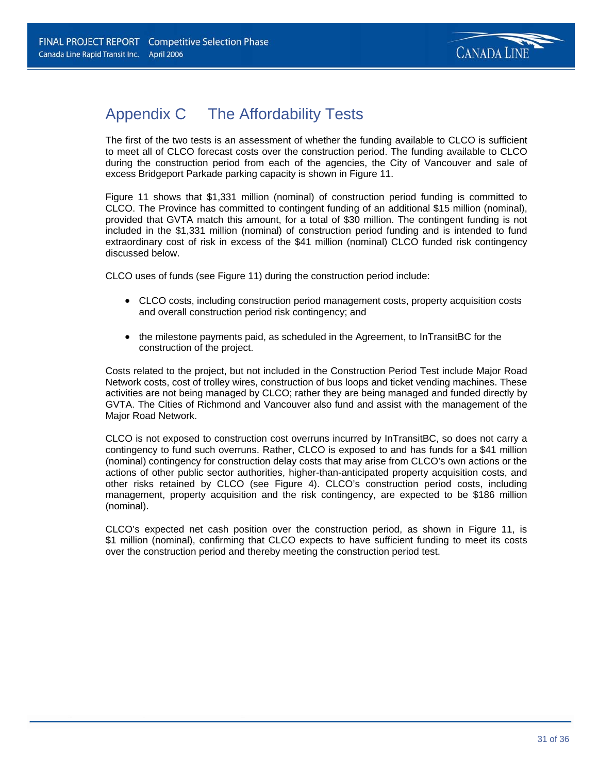

## Appendix C The Affordability Tests

The first of the two tests is an assessment of whether the funding available to CLCO is sufficient to meet all of CLCO forecast costs over the construction period. The funding available to CLCO during the construction period from each of the agencies, the City of Vancouver and sale of excess Bridgeport Parkade parking capacity is shown in Figure 11.

Figure 11 shows that \$1,331 million (nominal) of construction period funding is committed to CLCO. The Province has committed to contingent funding of an additional \$15 million (nominal), provided that GVTA match this amount, for a total of \$30 million. The contingent funding is not included in the \$1,331 million (nominal) of construction period funding and is intended to fund extraordinary cost of risk in excess of the \$41 million (nominal) CLCO funded risk contingency discussed below.

CLCO uses of funds (see Figure 11) during the construction period include:

- CLCO costs, including construction period management costs, property acquisition costs and overall construction period risk contingency; and
- the milestone payments paid, as scheduled in the Agreement, to InTransitBC for the construction of the project.

Costs related to the project, but not included in the Construction Period Test include Major Road Network costs, cost of trolley wires, construction of bus loops and ticket vending machines. These activities are not being managed by CLCO; rather they are being managed and funded directly by GVTA. The Cities of Richmond and Vancouver also fund and assist with the management of the Major Road Network.

CLCO is not exposed to construction cost overruns incurred by InTransitBC, so does not carry a contingency to fund such overruns. Rather, CLCO is exposed to and has funds for a \$41 million (nominal) contingency for construction delay costs that may arise from CLCO's own actions or the actions of other public sector authorities, higher-than-anticipated property acquisition costs, and other risks retained by CLCO (see Figure 4). CLCO's construction period costs, including management, property acquisition and the risk contingency, are expected to be \$186 million (nominal).

CLCO's expected net cash position over the construction period, as shown in Figure 11, is \$1 million (nominal), confirming that CLCO expects to have sufficient funding to meet its costs over the construction period and thereby meeting the construction period test.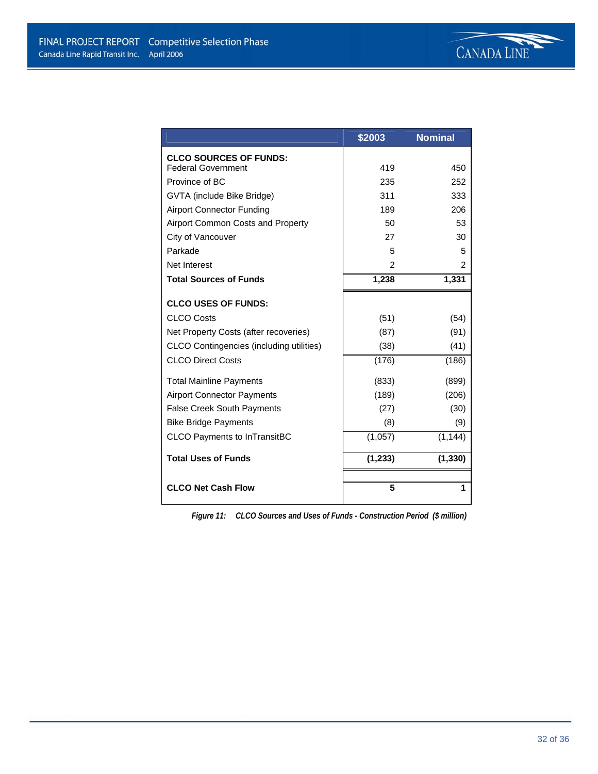|                                          | \$2003   | <b>Nominal</b> |
|------------------------------------------|----------|----------------|
| <b>CLCO SOURCES OF FUNDS:</b>            |          |                |
| <b>Federal Government</b>                | 419      | 450            |
| Province of BC                           | 235      | 252            |
| GVTA (include Bike Bridge)               | 311      | 333            |
| <b>Airport Connector Funding</b>         | 189      | 206            |
| Airport Common Costs and Property        | 50       | 53             |
| City of Vancouver                        | 27       | 30             |
| Parkade                                  | 5        | 5              |
| Net Interest                             | 2        | 2              |
| <b>Total Sources of Funds</b>            | 1,238    | 1,331          |
| <b>CLCO USES OF FUNDS:</b>               |          |                |
| <b>CLCO Costs</b>                        | (51)     | (54)           |
| Net Property Costs (after recoveries)    | (87)     | (91)           |
| CLCO Contingencies (including utilities) | (38)     | (41)           |
| <b>CLCO Direct Costs</b>                 | (176)    | (186)          |
| <b>Total Mainline Payments</b>           | (833)    | (899)          |
| <b>Airport Connector Payments</b>        | (189)    | (206)          |
| <b>False Creek South Payments</b>        | (27)     | (30)           |
| <b>Bike Bridge Payments</b>              | (8)      | (9)            |
| <b>CLCO Payments to InTransitBC</b>      | (1,057)  | (1, 144)       |
| <b>Total Uses of Funds</b>               | (1, 233) | (1, 330)       |
|                                          |          |                |
| <b>CLCO Net Cash Flow</b>                | 5        | 1              |

*Figure 11: CLCO Sources and Uses of Funds - Construction Period (\$ million)*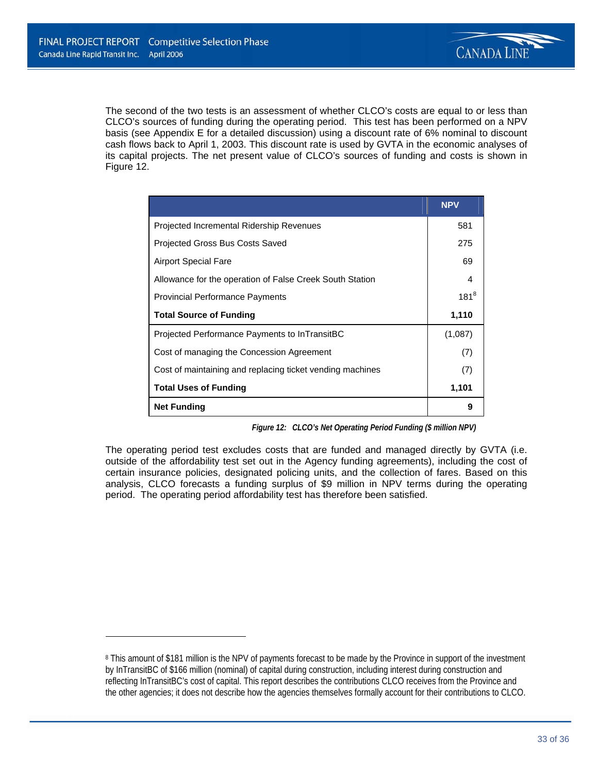$\overline{a}$ 



The second of the two tests is an assessment of whether CLCO's costs are equal to or less than CLCO's sources of funding during the operating period. This test has been performed on a NPV basis (see Appendix E for a detailed discussion) using a discount rate of 6% nominal to discount cash flows back to April 1, 2003. This discount rate is used by GVTA in the economic analyses of its capital projects. The net present value of CLCO's sources of funding and costs is shown in Figure 12.

|                                                           | <b>NPV</b> |
|-----------------------------------------------------------|------------|
| Projected Incremental Ridership Revenues                  | 581        |
| Projected Gross Bus Costs Saved                           | 275        |
| <b>Airport Special Fare</b>                               | 69         |
| Allowance for the operation of False Creek South Station  | 4          |
| <b>Provincial Performance Payments</b>                    | $181^{8}$  |
| <b>Total Source of Funding</b>                            | 1,110      |
| Projected Performance Payments to InTransitBC             | (1,087)    |
| Cost of managing the Concession Agreement                 | (7)        |
| Cost of maintaining and replacing ticket vending machines | (7)        |
| <b>Total Uses of Funding</b>                              | 1,101      |
| <b>Net Funding</b>                                        | 9          |

*Figure 12: CLCO's Net Operating Period Funding (\$ million NPV)* 

The operating period test excludes costs that are funded and managed directly by GVTA (i.e. outside of the affordability test set out in the Agency funding agreements), including the cost of certain insurance policies, designated policing units, and the collection of fares. Based on this analysis, CLCO forecasts a funding surplus of \$9 million in NPV terms during the operating period. The operating period affordability test has therefore been satisfied.

<sup>8</sup> This amount of \$181 million is the NPV of payments forecast to be made by the Province in support of the investment by InTransitBC of \$166 million (nominal) of capital during construction, including interest during construction and reflecting InTransitBC's cost of capital. This report describes the contributions CLCO receives from the Province and the other agencies; it does not describe how the agencies themselves formally account for their contributions to CLCO.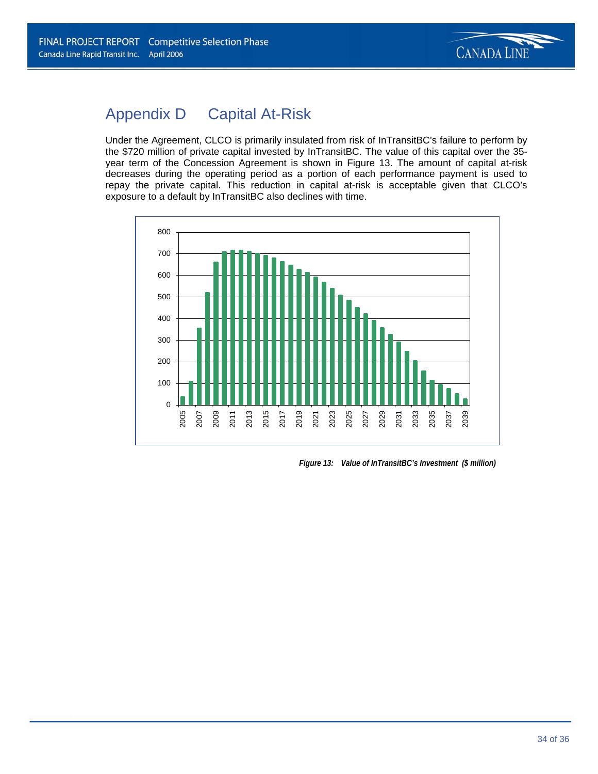

## Appendix D Capital At-Risk

Under the Agreement, CLCO is primarily insulated from risk of InTransitBC's failure to perform by the \$720 million of private capital invested by InTransitBC. The value of this capital over the 35 year term of the Concession Agreement is shown in Figure 13. The amount of capital at-risk decreases during the operating period as a portion of each performance payment is used to repay the private capital. This reduction in capital at-risk is acceptable given that CLCO's exposure to a default by InTransitBC also declines with time.



*Figure 13: Value of InTransitBC's Investment (\$ million)*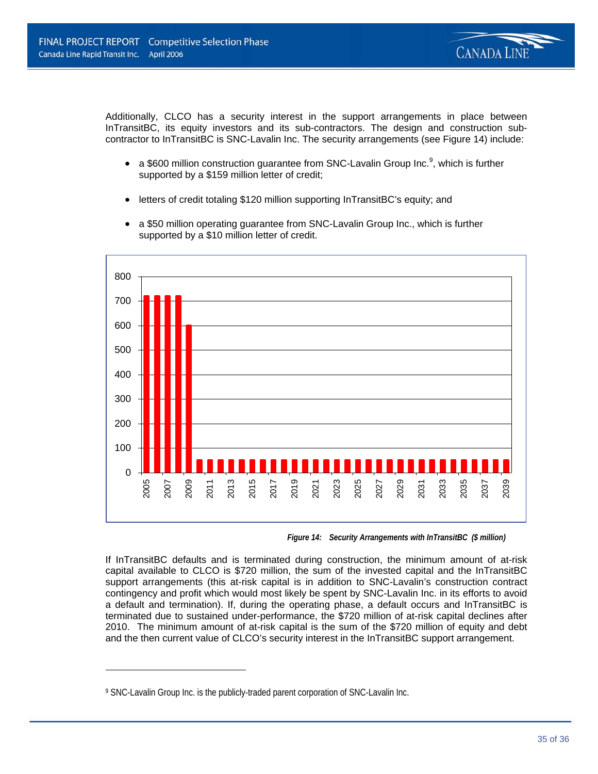

Additionally, CLCO has a security interest in the support arrangements in place between InTransitBC, its equity investors and its sub-contractors. The design and construction subcontractor to InTransitBC is SNC-Lavalin Inc. The security arrangements (see Figure 14) include:

- a \$600 million construction guarantee from SNC-Lavalin Group Inc.<sup>9</sup>, which is further supported by a \$159 million letter of credit;
- letters of credit totaling \$120 million supporting InTransitBC's equity; and



• a \$50 million operating quarantee from SNC-Lavalin Group Inc., which is further supported by a \$10 million letter of credit.

*Figure 14: Security Arrangements with InTransitBC (\$ million)* 

If InTransitBC defaults and is terminated during construction, the minimum amount of at-risk capital available to CLCO is \$720 million, the sum of the invested capital and the InTransitBC support arrangements (this at-risk capital is in addition to SNC-Lavalin's construction contract contingency and profit which would most likely be spent by SNC-Lavalin Inc. in its efforts to avoid a default and termination). If, during the operating phase, a default occurs and InTransitBC is terminated due to sustained under-performance, the \$720 million of at-risk capital declines after 2010. The minimum amount of at-risk capital is the sum of the \$720 million of equity and debt and the then current value of CLCO's security interest in the InTransitBC support arrangement.

 $\overline{a}$ 

<sup>9</sup> SNC-Lavalin Group Inc. is the publicly-traded parent corporation of SNC-Lavalin Inc.